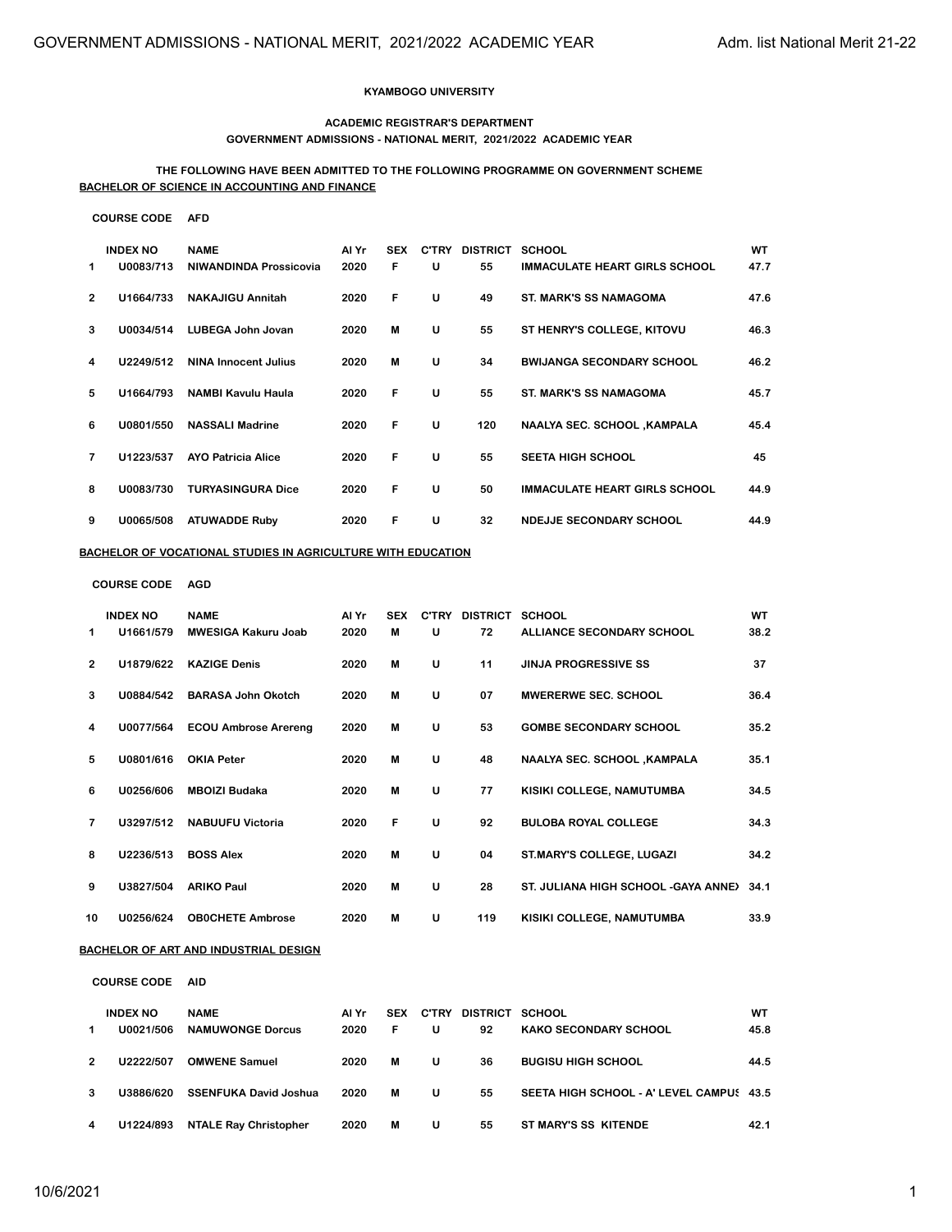#### **KYAMBOGO UNIVERSITY**

#### **ACADEMIC REGISTRAR'S DEPARTMENT GOVERNMENT ADMISSIONS - NATIONAL MERIT, 2021/2022 ACADEMIC YEAR**

### **THE FOLLOWING HAVE BEEN ADMITTED TO THE FOLLOWING PROGRAMME ON GOVERNMENT SCHEME BACHELOR OF SCIENCE IN ACCOUNTING AND FINANCE**

#### **COURSE CODE AFD**

| 1             | <b>INDEX NO</b><br>U0083/713 | <b>NAME</b><br>NIWANDINDA Prossicovia | Al Yr<br>2020 | <b>SEX</b><br>F | <b>C'TRY</b><br>U | <b>DISTRICT</b><br>55 | <b>SCHOOL</b><br><b>IMMACULATE HEART GIRLS SCHOOL</b> | WT<br>47.7 |
|---------------|------------------------------|---------------------------------------|---------------|-----------------|-------------------|-----------------------|-------------------------------------------------------|------------|
| $\mathcal{P}$ | U1664/733                    | <b>NAKAJIGU Annitah</b>               | 2020          | F               | U                 | 49                    | <b>ST. MARK'S SS NAMAGOMA</b>                         | 47.6       |
| 3             | U0034/514                    | LUBEGA John Jovan                     | 2020          | м               | U                 | 55                    | ST HENRY'S COLLEGE, KITOVU                            | 46.3       |
| 4             | U2249/512                    | <b>NINA Innocent Julius</b>           | 2020          | м               | U                 | 34                    | <b>BWIJANGA SECONDARY SCHOOL</b>                      | 46.2       |
| 5             | U1664/793                    | <b>NAMBI Kavulu Haula</b>             | 2020          | F               | U                 | 55                    | <b>ST. MARK'S SS NAMAGOMA</b>                         | 45.7       |
| 6             | U0801/550                    | <b>NASSALI Madrine</b>                | 2020          | F               | U                 | 120                   | <b>NAALYA SEC. SCHOOL ,KAMPALA</b>                    | 45.4       |
| 7             | U1223/537                    | <b>AYO Patricia Alice</b>             | 2020          | F               | U                 | 55                    | <b>SEETA HIGH SCHOOL</b>                              | 45         |
| 8             | U0083/730                    | <b>TURYASINGURA Dice</b>              | 2020          | F               | U                 | 50                    | <b>IMMACULATE HEART GIRLS SCHOOL</b>                  | 44.9       |
| 9             | U0065/508                    | <b>ATUWADDE Ruby</b>                  | 2020          | F               | U                 | 32                    | <b>NDEJJE SECONDARY SCHOOL</b>                        | 44.9       |

### **BACHELOR OF VOCATIONAL STUDIES IN AGRICULTURE WITH EDUCATION**

#### **COURSE CODE AGD**

| 1              | <b>INDEX NO</b><br>U1661/579 | <b>NAME</b><br><b>MWESIGA Kakuru Joab</b> | Al Yr<br>2020 | <b>SEX</b><br>м | <b>C'TRY</b><br>U | <b>DISTRICT</b><br>72 | <b>SCHOOL</b><br>ALLIANCE SECONDARY SCHOOL | WT<br>38.2 |
|----------------|------------------------------|-------------------------------------------|---------------|-----------------|-------------------|-----------------------|--------------------------------------------|------------|
| $\overline{2}$ | U1879/622                    | <b>KAZIGE Denis</b>                       | 2020          | м               | U                 | 11                    | <b>JINJA PROGRESSIVE SS</b>                | 37         |
| 3              | 110884/542                   | <b>BARASA John Okotch</b>                 | 2020          | м               | U                 | 07                    | MWERERWE SEC. SCHOOL                       | 36.4       |
| 4              | U0077/564                    | <b>ECOU Ambrose Arereng</b>               | 2020          | M               | U                 | 53                    | <b>GOMBE SECONDARY SCHOOL</b>              | 35.2       |
| 5              | U0801/616                    | <b>OKIA Peter</b>                         | 2020          | м               | U                 | 48                    | <b>NAALYA SEC. SCHOOL ,KAMPALA</b>         | 35.1       |
| 6              | U0256/606                    | <b>MBOIZI Budaka</b>                      | 2020          | м               | U                 | 77                    | KISIKI COLLEGE, NAMUTUMBA                  | 34.5       |
| 7              | U3297/512                    | <b>NABUUFU Victoria</b>                   | 2020          | F               | U                 | 92                    | <b>BULOBA ROYAL COLLEGE</b>                | 34.3       |
| 8              | U2236/513                    | <b>BOSS Alex</b>                          | 2020          | м               | U                 | 04                    | ST.MARY'S COLLEGE, LUGAZI                  | 34.2       |
| 9              | U3827/504                    | <b>ARIKO Paul</b>                         | 2020          | м               | U                 | 28                    | ST. JULIANA HIGH SCHOOL -GAYA ANNEX        | 34.1       |
| 10             | U0256/624                    | <b>OBOCHETE Ambrose</b>                   | 2020          | M               | U                 | 119                   | KISIKI COLLEGE, NAMUTUMBA                  | 33.9       |

## **BACHELOR OF ART AND INDUSTRIAL DESIGN**

**COURSE CODE AID**

|   | <b>INDEX NO</b><br>U0021/506 | <b>NAME</b><br><b>NAMUWONGE Dorcus</b> | Al Yr<br>2020 | <b>SEX</b><br>F | <b>C'TRY</b><br>U | DISTRICT<br>92 | SCHOOL<br><b>KAKO SECONDARY SCHOOL</b>   | WT<br>45.8 |
|---|------------------------------|----------------------------------------|---------------|-----------------|-------------------|----------------|------------------------------------------|------------|
| 2 | 112222/507                   | <b>OMWENE Samuel</b>                   | 2020          | м               | U                 | 36             | <b>BUGISU HIGH SCHOOL</b>                | 44.5       |
| 3 | U3886/620                    | <b>SSENFUKA David Joshua</b>           | 2020          | М               | U                 | 55             | SEETA HIGH SCHOOL - A' LEVEL CAMPUS 43.5 |            |
| 4 | U1224/893                    | <b>NTALE Ray Christopher</b>           | 2020          | м               | U                 | 55             | ST MARY'S SS KITENDE                     | 42.1       |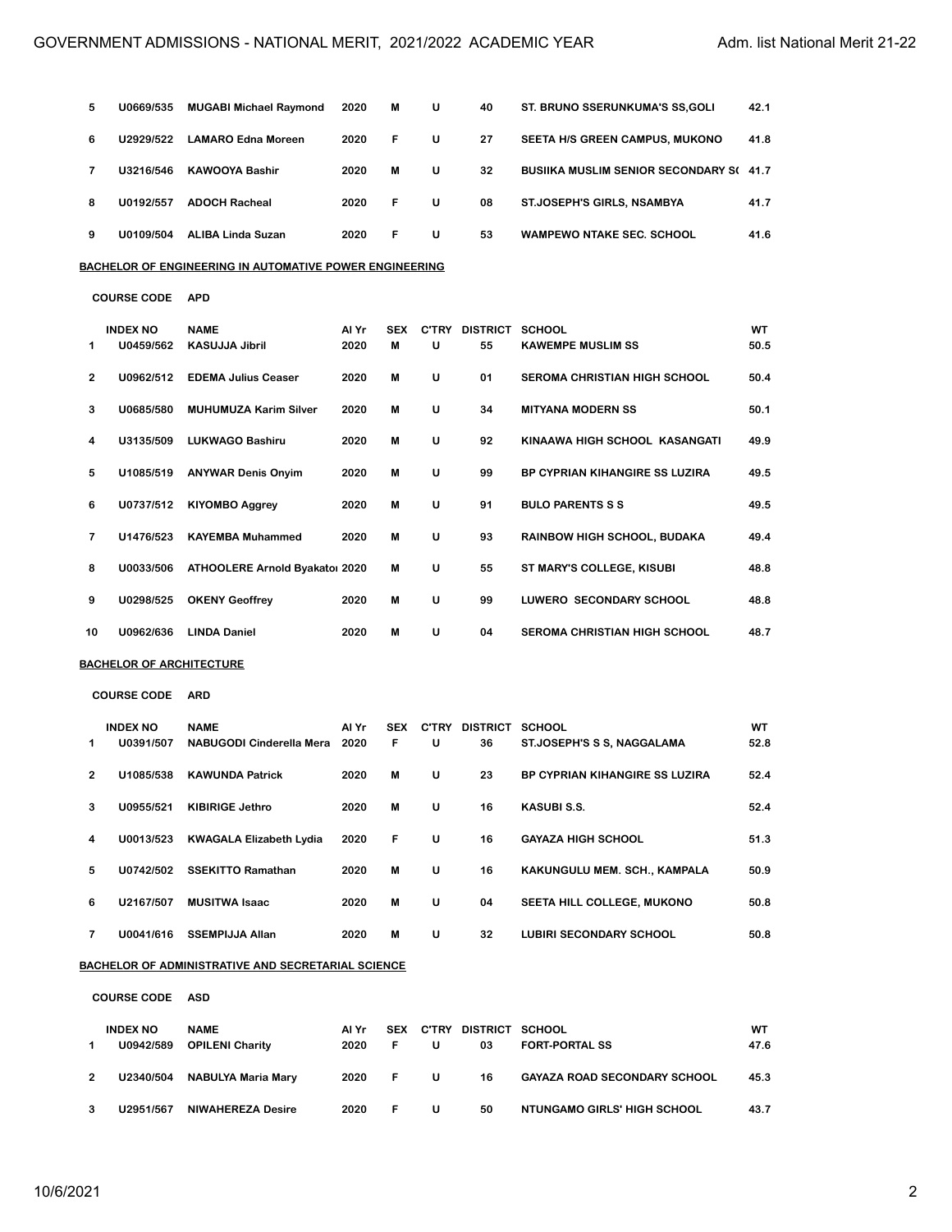| 5  | U0669/535                       | <b>MUGABI Michael Raymond</b>                           | 2020          | M               | U | 40                          | ST. BRUNO SSERUNKUMA'S SS, GOLI                | 42.1        |
|----|---------------------------------|---------------------------------------------------------|---------------|-----------------|---|-----------------------------|------------------------------------------------|-------------|
| 6  | U2929/522                       | <b>LAMARO Edna Moreen</b>                               | 2020          | F               | U | 27                          | SEETA H/S GREEN CAMPUS, MUKONO                 | 41.8        |
| 7  | U3216/546                       | <b>KAWOOYA Bashir</b>                                   | 2020          | M               | U | 32                          | <b>BUSIIKA MUSLIM SENIOR SECONDARY S(41.7)</b> |             |
| 8  | U0192/557                       | <b>ADOCH Racheal</b>                                    | 2020          | F               | U | 08                          | <b>ST.JOSEPH'S GIRLS, NSAMBYA</b>              | 41.7        |
| 9  | U0109/504                       | <b>ALIBA Linda Suzan</b>                                | 2020          | F               | U | 53                          | <b>WAMPEWO NTAKE SEC. SCHOOL</b>               | 41.6        |
|    |                                 | BACHELOR OF ENGINEERING IN AUTOMATIVE POWER ENGINEERING |               |                 |   |                             |                                                |             |
|    | <b>COURSE CODE</b>              | <b>APD</b>                                              |               |                 |   |                             |                                                |             |
| 1  | <b>INDEX NO</b><br>U0459/562    | <b>NAME</b><br><b>KASUJJA Jibril</b>                    | Al Yr<br>2020 | <b>SEX</b><br>M | U | C'TRY DISTRICT SCHOOL<br>55 | <b>KAWEMPE MUSLIM SS</b>                       | WT<br>50.5  |
| 2  | U0962/512                       | <b>EDEMA Julius Ceaser</b>                              | 2020          | М               | U | 01                          | <b>SEROMA CHRISTIAN HIGH SCHOOL</b>            | 50.4        |
| 3  | U0685/580                       | <b>MUHUMUZA Karim Silver</b>                            | 2020          | М               | U | 34                          | <b>MITYANA MODERN SS</b>                       | 50.1        |
| 4  | U3135/509                       | <b>LUKWAGO Bashiru</b>                                  | 2020          | M               | U | 92                          | KINAAWA HIGH SCHOOL KASANGATI                  | 49.9        |
| 5  | U1085/519                       | <b>ANYWAR Denis Onyim</b>                               | 2020          | M               | U | 99                          | BP CYPRIAN KIHANGIRE SS LUZIRA                 | 49.5        |
| 6  | U0737/512                       | <b>KIYOMBO Aggrey</b>                                   | 2020          | M               | U | 91                          | <b>BULO PARENTS S S</b>                        | 49.5        |
| 7  | U1476/523                       | <b>KAYEMBA Muhammed</b>                                 | 2020          | M               | U | 93                          | RAINBOW HIGH SCHOOL, BUDAKA                    | 49.4        |
| 8  | U0033/506                       | ATHOOLERE Arnold Byakator 2020                          |               | M               | U | 55                          | ST MARY'S COLLEGE, KISUBI                      | 48.8        |
| 9  | U0298/525                       | <b>OKENY Geoffrey</b>                                   | 2020          | M               | U | 99                          | LUWERO SECONDARY SCHOOL                        | 48.8        |
| 10 | U0962/636                       | <b>LINDA Daniel</b>                                     | 2020          | M               | U | 04                          | <b>SEROMA CHRISTIAN HIGH SCHOOL</b>            | 48.7        |
|    | <u>BACHELOR OF ARCHITECTURE</u> |                                                         |               |                 |   |                             |                                                |             |
|    | <b>COURSE CODE</b>              | <b>ARD</b>                                              |               |                 |   |                             |                                                |             |
| 1  | <b>INDEX NO</b><br>U0391/507    | <b>NAME</b><br>NABUGODI Cinderella Mera                 | Al Yr<br>2020 | <b>SEX</b><br>F | U | C'TRY DISTRICT SCHOOL<br>36 | ST.JOSEPH'S S S, NAGGALAMA                     | WT.<br>52.8 |
| 2  | U1085/538                       | <b>KAWUNDA Patrick</b>                                  | 2020          | M               | U | 23                          | BP CYPRIAN KIHANGIRE SS LUZIRA                 | 52.4        |
| 3  | U0955/521                       | <b>KIBIRIGE Jethro</b>                                  | 2020          | M               | U | 16                          | KASUBI S.S.                                    | 52.4        |
| 4  | U0013/523                       | <b>KWAGALA Elizabeth Lydia</b>                          | 2020          | F               | U | 16                          | <b>GAYAZA HIGH SCHOOL</b>                      | 51.3        |
| 5  | U0742/502                       | <b>SSEKITTO Ramathan</b>                                | 2020          | M               | U | 16                          | KAKUNGULU MEM. SCH., KAMPALA                   | 50.9        |
| 6  | U2167/507                       | <b>MUSITWA Isaac</b>                                    | 2020          | М               | U | 04                          | SEETA HILL COLLEGE, MUKONO                     | 50.8        |
| 7  | U0041/616                       | <b>SSEMPIJJA Allan</b>                                  | 2020          | M               | U | 32                          | LUBIRI SECONDARY SCHOOL                        | 50.8        |
|    |                                 | BACHELOR OF ADMINISTRATIVE AND SECRETARIAL SCIENCE      |               |                 |   |                             |                                                |             |

**COURSE CODE ASD**

|                | <b>INDEX NO</b><br>U0942/589 | <b>NAME</b><br><b>OPILENI Charity</b> | Al Yr<br>2020 | <b>SEX</b><br>F. | C'TRY<br>u | DISTRICT SCHOOL<br>03 | <b>FORT-PORTAL SS</b>               | WТ<br>47.6 |
|----------------|------------------------------|---------------------------------------|---------------|------------------|------------|-----------------------|-------------------------------------|------------|
| $\overline{2}$ | U2340/504                    | NABULYA Maria Mary                    | 2020          | - F -            | U          | 16                    | <b>GAYAZA ROAD SECONDARY SCHOOL</b> | 45.3       |
|                | U2951/567                    | <b>NIWAHEREZA Desire</b>              | 2020          | F.               | u          | 50                    | NTUNGAMO GIRLS' HIGH SCHOOL         | 43.7       |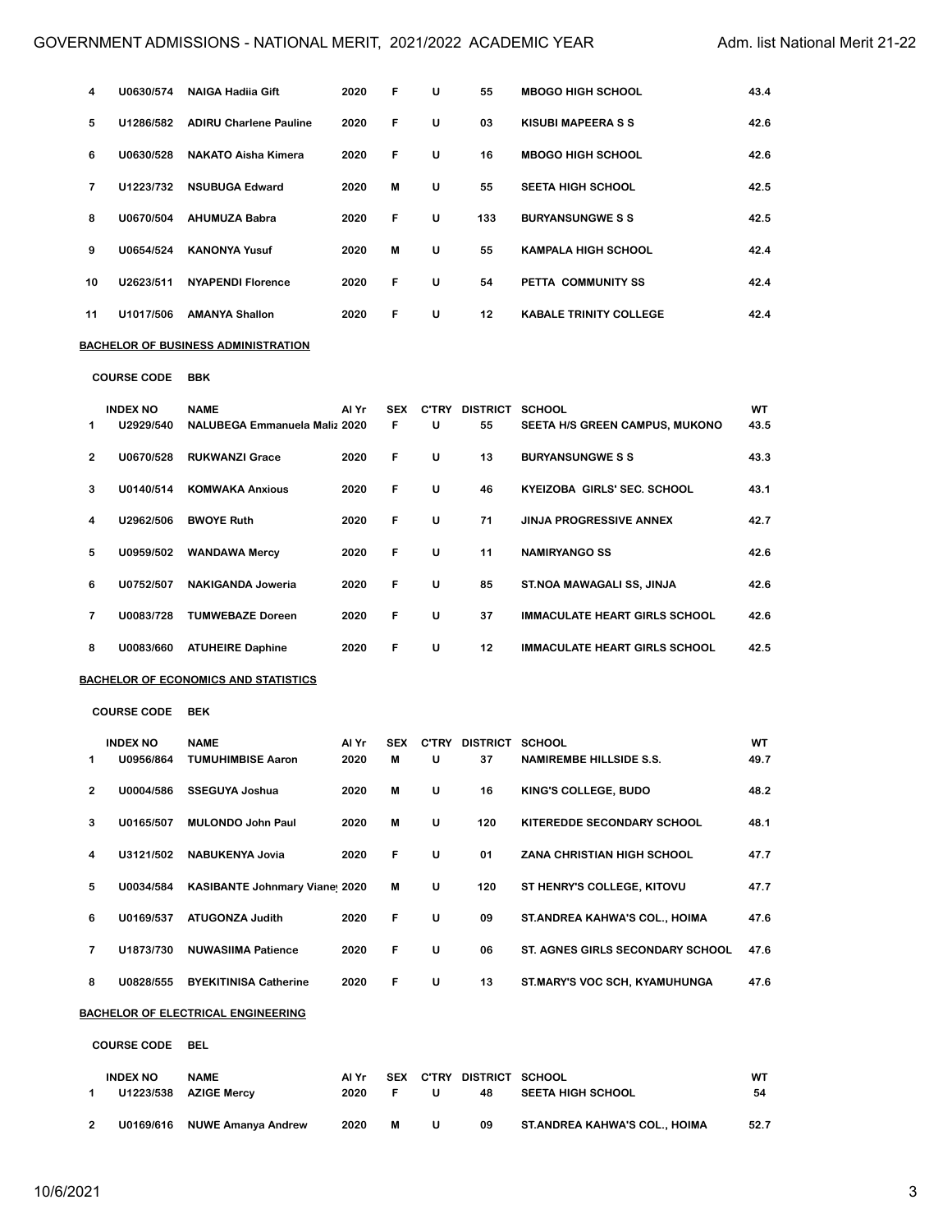| 4  | U0630/574                    | <b>NAIGA Hadiia Gift</b>                     | 2020          | F               | U | 55                              | <b>MBOGO HIGH SCHOOL</b>             | 43.4       |
|----|------------------------------|----------------------------------------------|---------------|-----------------|---|---------------------------------|--------------------------------------|------------|
| 5  | U1286/582                    | <b>ADIRU Charlene Pauline</b>                | 2020          | F               | U | 03                              | <b>KISUBI MAPEERA S S</b>            | 42.6       |
| 6  | U0630/528                    | <b>NAKATO Aisha Kimera</b>                   | 2020          | F               | U | 16                              | <b>MBOGO HIGH SCHOOL</b>             | 42.6       |
| 7  | U1223/732                    | <b>NSUBUGA Edward</b>                        | 2020          | M               | U | 55                              | <b>SEETA HIGH SCHOOL</b>             | 42.5       |
| 8  | U0670/504                    | <b>AHUMUZA Babra</b>                         | 2020          | F               | U | 133                             | <b>BURYANSUNGWE S S</b>              | 42.5       |
| 9  | U0654/524                    | <b>KANONYA Yusuf</b>                         | 2020          | M               | U | 55                              | <b>KAMPALA HIGH SCHOOL</b>           | 42.4       |
| 10 | U2623/511                    | <b>NYAPENDI Florence</b>                     | 2020          | F               | U | 54                              | PETTA COMMUNITY SS                   | 42.4       |
| 11 | U1017/506                    | <b>AMANYA Shallon</b>                        | 2020          | F               | U | 12                              | <b>KABALE TRINITY COLLEGE</b>        | 42.4       |
|    |                              | BACHELOR OF BUSINESS ADMINISTRATION          |               |                 |   |                                 |                                      |            |
|    | <b>COURSE CODE</b>           | <b>BBK</b>                                   |               |                 |   |                                 |                                      |            |
| 1  | <b>INDEX NO</b><br>U2929/540 | <b>NAME</b><br>NALUBEGA Emmanuela Maliz 2020 | Al Yr         | <b>SEX</b><br>F | U | C'TRY DISTRICT SCHOOL<br>55     | SEETA H/S GREEN CAMPUS, MUKONO       | WT<br>43.5 |
| 2  | U0670/528                    | <b>RUKWANZI Grace</b>                        | 2020          | F               | U | 13                              | <b>BURYANSUNGWE S S</b>              | 43.3       |
| 3  | U0140/514                    | <b>KOMWAKA Anxious</b>                       | 2020          | F               | U | 46                              | KYEIZOBA GIRLS' SEC. SCHOOL          | 43.1       |
| 4  | U2962/506                    | <b>BWOYE Ruth</b>                            | 2020          | F               | U | 71                              | <b>JINJA PROGRESSIVE ANNEX</b>       | 42.7       |
| 5  | U0959/502                    | <b>WANDAWA Mercy</b>                         | 2020          | F               | U | 11                              | <b>NAMIRYANGO SS</b>                 | 42.6       |
| 6  | U0752/507                    | <b>NAKIGANDA Joweria</b>                     | 2020          | F               | U | 85                              | ST.NOA MAWAGALI SS, JINJA            | 42.6       |
| 7  | U0083/728                    | <b>TUMWEBAZE Doreen</b>                      | 2020          | F               | U | 37                              | <b>IMMACULATE HEART GIRLS SCHOOL</b> | 42.6       |
| 8  | U0083/660                    | <b>ATUHEIRE Daphine</b>                      | 2020          | F               | U | 12                              | <b>IMMACULATE HEART GIRLS SCHOOL</b> | 42.5       |
|    |                              | BACHELOR OF ECONOMICS AND STATISTICS         |               |                 |   |                                 |                                      |            |
|    | <b>COURSE CODE</b>           | <b>BEK</b>                                   |               |                 |   |                                 |                                      |            |
|    | <b>INDEX NO</b>              | <b>NAME</b><br>U0956/864 TUMUHIMBISE Aaron   | Al Yr<br>2020 | M               | U | SEX C'TRY DISTRICT SCHOOL<br>37 | <b>NAMIREMBE HILLSIDE S.S.</b>       | WT<br>49.7 |
| 2  | U0004/586                    | <b>SSEGUYA Joshua</b>                        | 2020          | M               | U | 16                              | KING'S COLLEGE, BUDO                 | 48.2       |
| 3  | U0165/507                    | <b>MULONDO John Paul</b>                     | 2020          | M               | U | 120                             | KITEREDDE SECONDARY SCHOOL           | 48.1       |
| 4  | U3121/502                    | <b>NABUKENYA Jovia</b>                       | 2020          | F               | U | 01                              | ZANA CHRISTIAN HIGH SCHOOL           | 47.7       |
| 5  | U0034/584                    | <b>KASIBANTE Johnmary Vianet 2020</b>        |               | M               | U | 120                             | ST HENRY'S COLLEGE, KITOVU           | 47.7       |
| 6  | U0169/537                    | <b>ATUGONZA Judith</b>                       | 2020          | F               | U | 09                              | ST. ANDREA KAHWA'S COL., HOIMA       | 47.6       |
| 7  | U1873/730                    | <b>NUWASIIMA Patience</b>                    | 2020          | F               | U | 06                              | ST. AGNES GIRLS SECONDARY SCHOOL     | 47.6       |
| 8  | U0828/555                    | <b>BYEKITINISA Catherine</b>                 | 2020          | F               | U | 13                              | ST.MARY'S VOC SCH, KYAMUHUNGA        | 47.6       |
|    |                              | BACHELOR OF ELECTRICAL ENGINEERING           |               |                 |   |                                 |                                      |            |
|    | <b>COURSE CODE</b>           | <b>BEL</b>                                   |               |                 |   |                                 |                                      |            |
| 1  | <b>INDEX NO</b><br>U1223/538 | <b>NAME</b><br><b>AZIGE Mercy</b>            | Al Yr<br>2020 | SEX<br>F.       | U | C'TRY DISTRICT SCHOOL<br>48     | <b>SEETA HIGH SCHOOL</b>             | WT<br>54   |

**U0169/616 NUWE Amanya Andrew 2020 M U 09 ST.ANDREA KAHWA'S COL., HOIMA 52.7**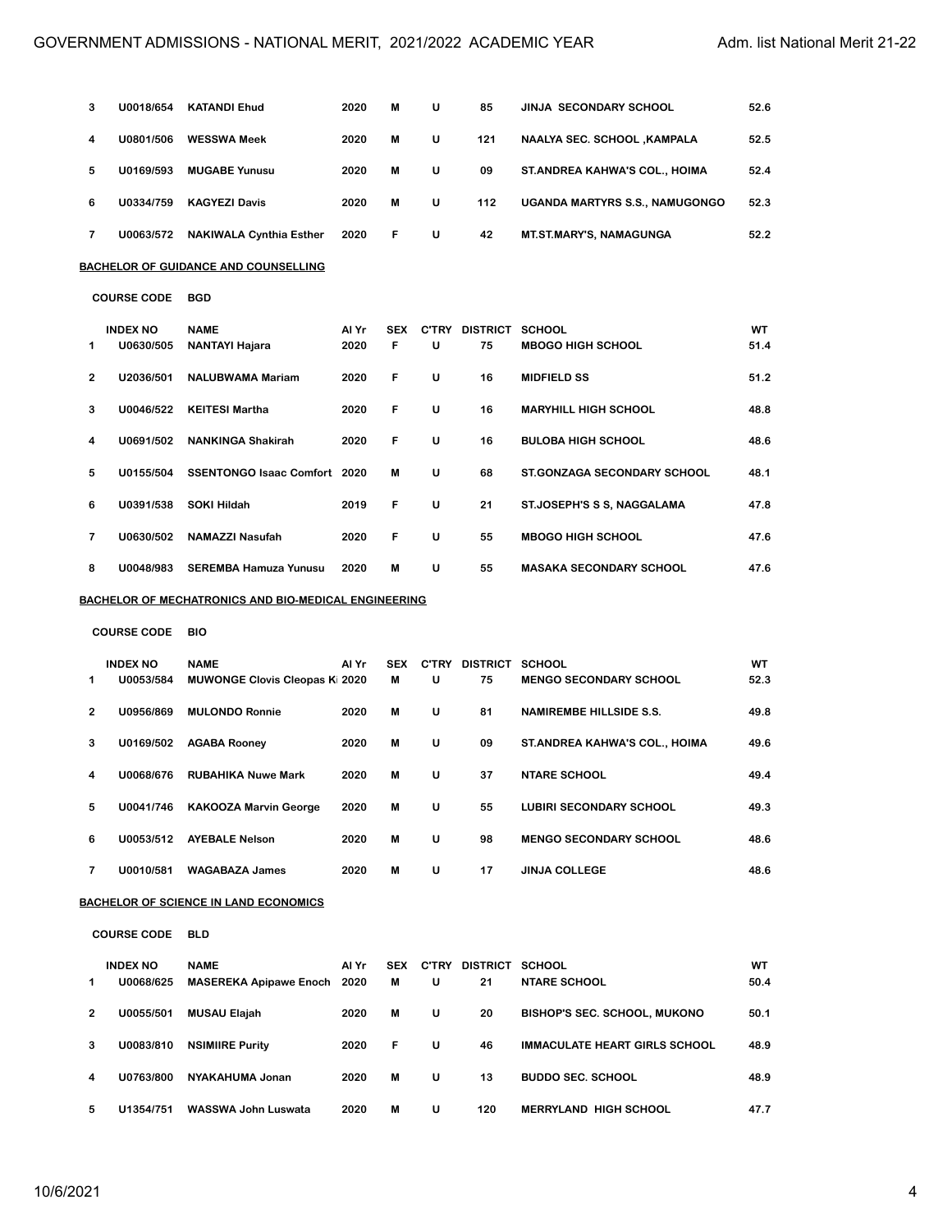| з | U0018/654                    | <b>KATANDI Ehud</b>                                         | 2020          | M               | U                 | 85                          | JINJA SECONDARY SCHOOL              | 52.6       |
|---|------------------------------|-------------------------------------------------------------|---------------|-----------------|-------------------|-----------------------------|-------------------------------------|------------|
| 4 | U0801/506                    | <b>WESSWA Meek</b>                                          | 2020          | M               | U                 | 121                         | NAALYA SEC. SCHOOL ,KAMPALA         | 52.5       |
| 5 | U0169/593                    | <b>MUGABE Yunusu</b>                                        | 2020          | M               | U                 | 09                          | ST.ANDREA KAHWA'S COL., HOIMA       | 52.4       |
| 6 | U0334/759                    | <b>KAGYEZI Davis</b>                                        | 2020          | M               | U                 | 112                         | UGANDA MARTYRS S.S., NAMUGONGO      | 52.3       |
| 7 | U0063/572                    | <b>NAKIWALA Cynthia Esther</b>                              | 2020          | F               | U                 | 42                          | <b>MT.ST.MARY'S, NAMAGUNGA</b>      | 52.2       |
|   |                              | BACHELOR OF GUIDANCE AND COUNSELLING                        |               |                 |                   |                             |                                     |            |
|   | <b>COURSE CODE</b>           | <b>BGD</b>                                                  |               |                 |                   |                             |                                     |            |
| 1 | <b>INDEX NO</b><br>U0630/505 | <b>NAME</b><br><b>NANTAYI Hajara</b>                        | Al Yr<br>2020 | <b>SEX</b><br>F | U                 | C'TRY DISTRICT SCHOOL<br>75 | <b>MBOGO HIGH SCHOOL</b>            | WT<br>51.4 |
| 2 | U2036/501                    | <b>NALUBWAMA Mariam</b>                                     | 2020          | F               | U                 | 16                          | <b>MIDFIELD SS</b>                  | 51.2       |
| 3 | U0046/522                    | <b>KEITESI Martha</b>                                       | 2020          | F               | U                 | 16                          | <b>MARYHILL HIGH SCHOOL</b>         | 48.8       |
| 4 | U0691/502                    | <b>NANKINGA Shakirah</b>                                    | 2020          | F               | U                 | 16                          | <b>BULOBA HIGH SCHOOL</b>           | 48.6       |
| 5 | U0155/504                    | SSENTONGO Isaac Comfort 2020                                |               | M               | U                 | 68                          | <b>ST.GONZAGA SECONDARY SCHOOL</b>  | 48.1       |
| 6 | U0391/538                    | <b>SOKI Hildah</b>                                          | 2019          | F               | U                 | 21                          | ST.JOSEPH'S S S, NAGGALAMA          | 47.8       |
| 7 | U0630/502                    | <b>NAMAZZI Nasufah</b>                                      | 2020          | F               | U                 | 55                          | <b>MBOGO HIGH SCHOOL</b>            | 47.6       |
| 8 | U0048/983                    | <b>SEREMBA Hamuza Yunusu</b>                                | 2020          | M               | U                 | 55                          | <b>MASAKA SECONDARY SCHOOL</b>      | 47.6       |
|   |                              | <u>BACHELOR OF MECHATRONICS AND BIO-MEDICAL ENGINEERING</u> |               |                 |                   |                             |                                     |            |
|   | <b>COURSE CODE</b>           | <b>BIO</b>                                                  |               |                 |                   |                             |                                     |            |
| 1 | <b>INDEX NO</b><br>U0053/584 | <b>NAME</b><br><b>MUWONGE Clovis Cleopas Ki 2020</b>        | Al Yr         | <b>SEX</b><br>M | U                 | C'TRY DISTRICT SCHOOL<br>75 | <b>MENGO SECONDARY SCHOOL</b>       | WT<br>52.3 |
| 2 | U0956/869                    | <b>MULONDO Ronnie</b>                                       | 2020          | M               | U                 | 81                          | <b>NAMIREMBE HILLSIDE S.S.</b>      | 49.8       |
| з | U0169/502                    | <b>AGABA Rooney</b>                                         | 2020          | M               | U                 | 09                          | ST.ANDREA KAHWA'S COL., HOIMA       | 49.6       |
| 4 | U0068/676                    | <b>RUBAHIKA Nuwe Mark</b>                                   | 2020          | M               | U                 | 37                          | <b>NTARE SCHOOL</b>                 | 49.4       |
| 5 | U0041/746                    | <b>KAKOOZA Marvin George</b>                                | 2020          | M               | U                 | 55                          | <b>LUBIRI SECONDARY SCHOOL</b>      | 49.3       |
| 6 |                              | U0053/512 AYEBALE Nelson                                    | 2020          | M               | U                 | 98                          | <b>MENGO SECONDARY SCHOOL</b>       | 48.6       |
| 7 | U0010/581                    | <b>WAGABAZA James</b>                                       | 2020          | M               | U                 | 17                          | <b>JINJA COLLEGE</b>                | 48.6       |
|   |                              | <u>BACHELOR OF SCIENCE IN LAND ECONOMICS</u>                |               |                 |                   |                             |                                     |            |
|   | <b>COURSE CODE</b>           | <b>BLD</b>                                                  |               |                 |                   |                             |                                     |            |
| 1 | <b>INDEX NO</b><br>U0068/625 | <b>NAME</b><br><b>MASEREKA Apipawe Enoch</b>                | Al Yr<br>2020 | SEX<br>M        | <b>C'TRY</b><br>U | DISTRICT SCHOOL<br>21       | <b>NTARE SCHOOL</b>                 | WT<br>50.4 |
| 2 | U0055/501                    | <b>MUSAU Elajah</b>                                         | 2020          | M               | U                 | 20                          | <b>BISHOP'S SEC. SCHOOL, MUKONO</b> | 50.1       |
| 3 | U0083/810                    |                                                             | 2020          | F               | U                 | 46                          | IMMACULATE HEART GIRLS SCHOOL       | 48.9       |
| 4 | U0763/800                    | <b>NSIMIIRE Purity</b>                                      | 2020          | M               | U                 | 13                          | <b>BUDDO SEC. SCHOOL</b>            | 48.9       |
|   |                              | NYAKAHUMA Jonan                                             |               |                 |                   |                             |                                     |            |
| 5 | U1354/751                    | WASSWA John Luswata                                         | 2020          | M               | U                 | 120                         | <b>MERRYLAND HIGH SCHOOL</b>        | 47.7       |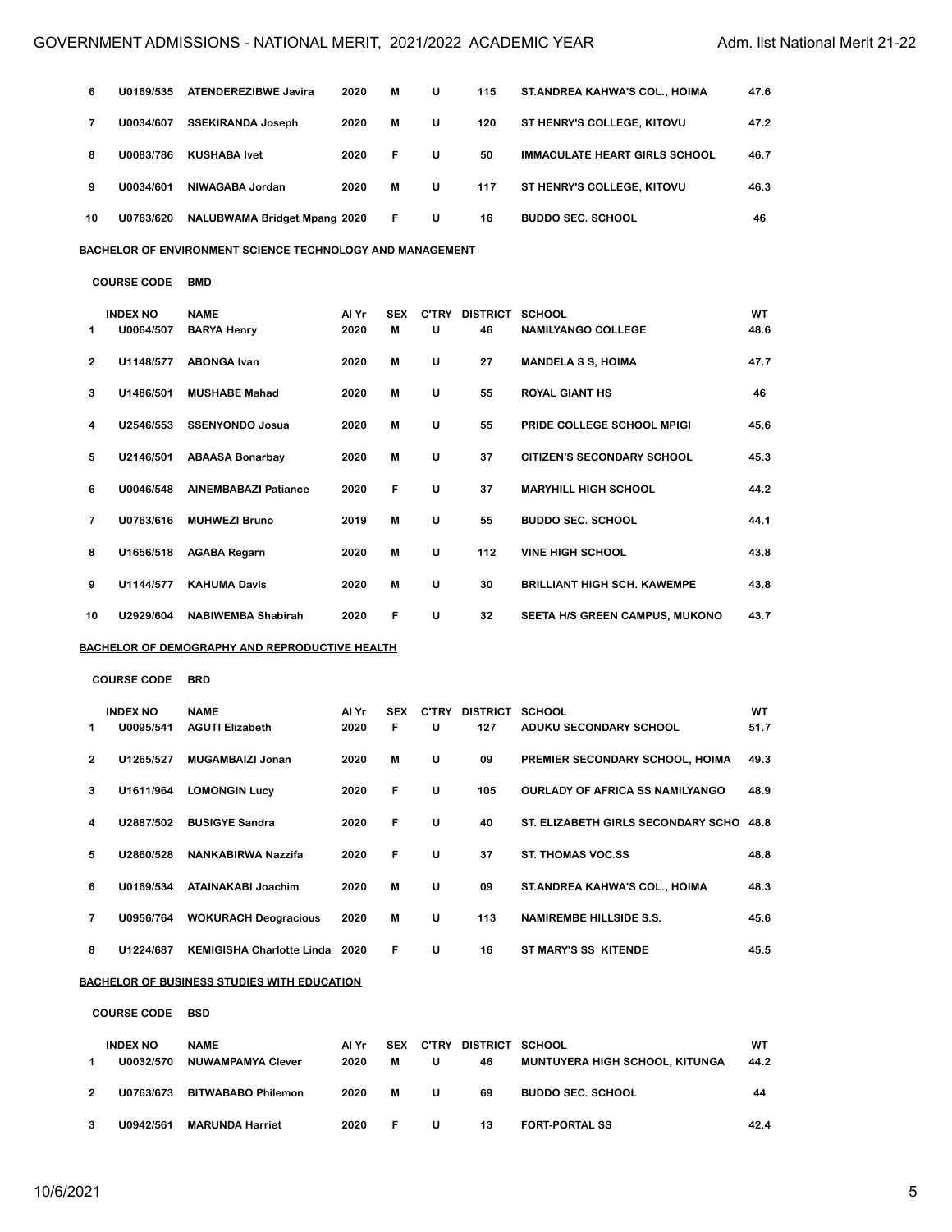| 6  | U0169/535                    | <b>ATENDEREZIBWE Javira</b>                                       | 2020          | M               | U                 | 115                         | ST.ANDREA KAHWA'S COL., HOIMA              | 47.6       |
|----|------------------------------|-------------------------------------------------------------------|---------------|-----------------|-------------------|-----------------------------|--------------------------------------------|------------|
| 7  | U0034/607                    | <b>SSEKIRANDA Joseph</b>                                          | 2020          | M               | U                 | 120                         | ST HENRY'S COLLEGE, KITOVU                 | 47.2       |
| 8  | U0083/786                    | <b>KUSHABA Ivet</b>                                               | 2020          | F               | U                 | 50                          | <b>IMMACULATE HEART GIRLS SCHOOL</b>       | 46.7       |
| 9  | U0034/601                    | NIWAGABA Jordan                                                   | 2020          | M               | U                 | 117                         | <b>ST HENRY'S COLLEGE, KITOVU</b>          | 46.3       |
| 10 | U0763/620                    | <b>NALUBWAMA Bridget Mpang 2020</b>                               |               | F               | U                 | 16                          | <b>BUDDO SEC. SCHOOL</b>                   | 46         |
|    |                              | <u>BACHELOR OF ENVIRONMENT SCIENCE TECHNOLOGY AND MANAGEMENT_</u> |               |                 |                   |                             |                                            |            |
|    | <b>COURSE CODE</b>           | <b>BMD</b>                                                        |               |                 |                   |                             |                                            |            |
|    |                              |                                                                   |               |                 |                   |                             |                                            |            |
| 1  | <b>INDEX NO</b><br>U0064/507 | <b>NAME</b><br><b>BARYA Henry</b>                                 | Al Yr<br>2020 | <b>SEX</b><br>M | U                 | C'TRY DISTRICT SCHOOL<br>46 | <b>NAMILYANGO COLLEGE</b>                  | WT<br>48.6 |
|    |                              |                                                                   |               |                 |                   |                             |                                            |            |
| 2  | U1148/577                    | <b>ABONGA Ivan</b>                                                | 2020          | M               | U                 | 27                          | <b>MANDELA S S, HOIMA</b>                  | 47.7       |
| з  | U1486/501                    | <b>MUSHABE Mahad</b>                                              | 2020          | M               | U                 | 55                          | ROYAL GIANT HS                             | 46         |
| 4  | U2546/553                    | <b>SSENYONDO Josua</b>                                            | 2020          | M               | U                 | 55                          | PRIDE COLLEGE SCHOOL MPIGI                 | 45.6       |
| 5  | U2146/501                    | <b>ABAASA Bonarbay</b>                                            | 2020          | M               | U                 | 37                          | CITIZEN'S SECONDARY SCHOOL                 | 45.3       |
| 6  | U0046/548                    | <b>AINEMBABAZI Patiance</b>                                       | 2020          | F               | U                 | 37                          | <b>MARYHILL HIGH SCHOOL</b>                | 44.2       |
| 7  | U0763/616                    | <b>MUHWEZI Bruno</b>                                              | 2019          | M               | U                 | 55                          | <b>BUDDO SEC. SCHOOL</b>                   | 44.1       |
| 8  | U1656/518                    | <b>AGABA Regarn</b>                                               | 2020          | M               | U                 | 112                         | <b>VINE HIGH SCHOOL</b>                    | 43.8       |
| 9  | U1144/577                    | <b>KAHUMA Davis</b>                                               | 2020          | M               | U                 | 30                          | <b>BRILLIANT HIGH SCH. KAWEMPE</b>         | 43.8       |
| 10 | U2929/604                    | <b>NABIWEMBA Shabirah</b>                                         | 2020          | F               | U                 | 32                          | SEETA H/S GREEN CAMPUS, MUKONO             | 43.7       |
|    |                              | BACHELOR OF DEMOGRAPHY AND REPRODUCTIVE HEALTH                    |               |                 |                   |                             |                                            |            |
|    | <b>COURSE CODE</b>           | <b>BRD</b>                                                        |               |                 |                   |                             |                                            |            |
|    |                              |                                                                   |               |                 |                   |                             |                                            |            |
| 1  | <b>INDEX NO</b><br>U0095/541 | <b>NAME</b><br><b>AGUTI Elizabeth</b>                             | Al Yr<br>2020 | <b>SEX</b><br>F | <b>C'TRY</b><br>U | DISTRICT SCHOOL<br>127      | ADUKU SECONDARY SCHOOL                     | WT<br>51.7 |
|    |                              |                                                                   |               |                 |                   |                             |                                            |            |
| 2  | U1265/527                    | <b>MUGAMBAIZI Jonan</b>                                           | 2020          | M               | U                 | 09                          | PREMIER SECONDARY SCHOOL, HOIMA            | 49.3       |
| з  | U1611/964                    | <b>LOMONGIN Lucy</b>                                              | 2020          | F               | U                 | 105                         | <b>OURLADY OF AFRICA SS NAMILYANGO</b>     | 48.9       |
| 4  | U2887/502                    | <b>BUSIGYE Sandra</b>                                             | 2020          | F               | U                 | 40                          | ST. ELIZABETH GIRLS SECONDARY SCHO         | 48.8       |
| 5  | U2860/528                    | NANKABIRWA Nazzifa                                                | 2020          | F               | U                 | 37                          | <b>ST. THOMAS VOC.SS</b>                   | 48.8       |
| 6  | U0169/534                    | <b>ATAINAKABI Joachim</b>                                         | 2020          | M               | U                 | 09                          | ST. ANDREA KAHWA'S COL., HOIMA             | 48.3       |
| 7  | U0956/764                    | <b>WOKURACH Deogracious</b>                                       | 2020          | M               | U                 | 113                         | <b>NAMIREMBE HILLSIDE S.S.</b>             | 45.6       |
| 8  | U1224/687                    | KEMIGISHA Charlotte Linda 2020                                    |               | F               | U                 | 16                          | ST MARY'S SS KITENDE                       | 45.5       |
|    |                              | <u>BACHELOR OF BUSINESS STUDIES WITH EDUCATION</u>                |               |                 |                   |                             |                                            |            |
|    | <b>COURSE CODE</b>           | <b>BSD</b>                                                        |               |                 |                   |                             |                                            |            |
|    | <b>INDEX NO</b><br>00000520  | <b>NAME</b><br>AILIMIA BADA BAVA OL                               | Al Yr         |                 |                   | SEX C'TRY DISTRICT SCHOOL   | MUNITUVEDA UJOU GOUQOL<br><b>IZITURIOA</b> | WT         |

| U0032/570 | <b>NUWAMPAMYA Clever</b>  | 2020 | M  | U | 46 | MUNTUYERA HIGH SCHOOL, KITUNGA | 44.2 |
|-----------|---------------------------|------|----|---|----|--------------------------------|------|
| U0763/673 | <b>BITWABABO Philemon</b> | 2020 | м  | u | 69 | <b>BUDDO SEC. SCHOOL</b>       | 44   |
| U0942/561 | <b>MARUNDA Harriet</b>    | 2020 | E. | u | 13 | <b>FORT-PORTAL SS</b>          | 42.4 |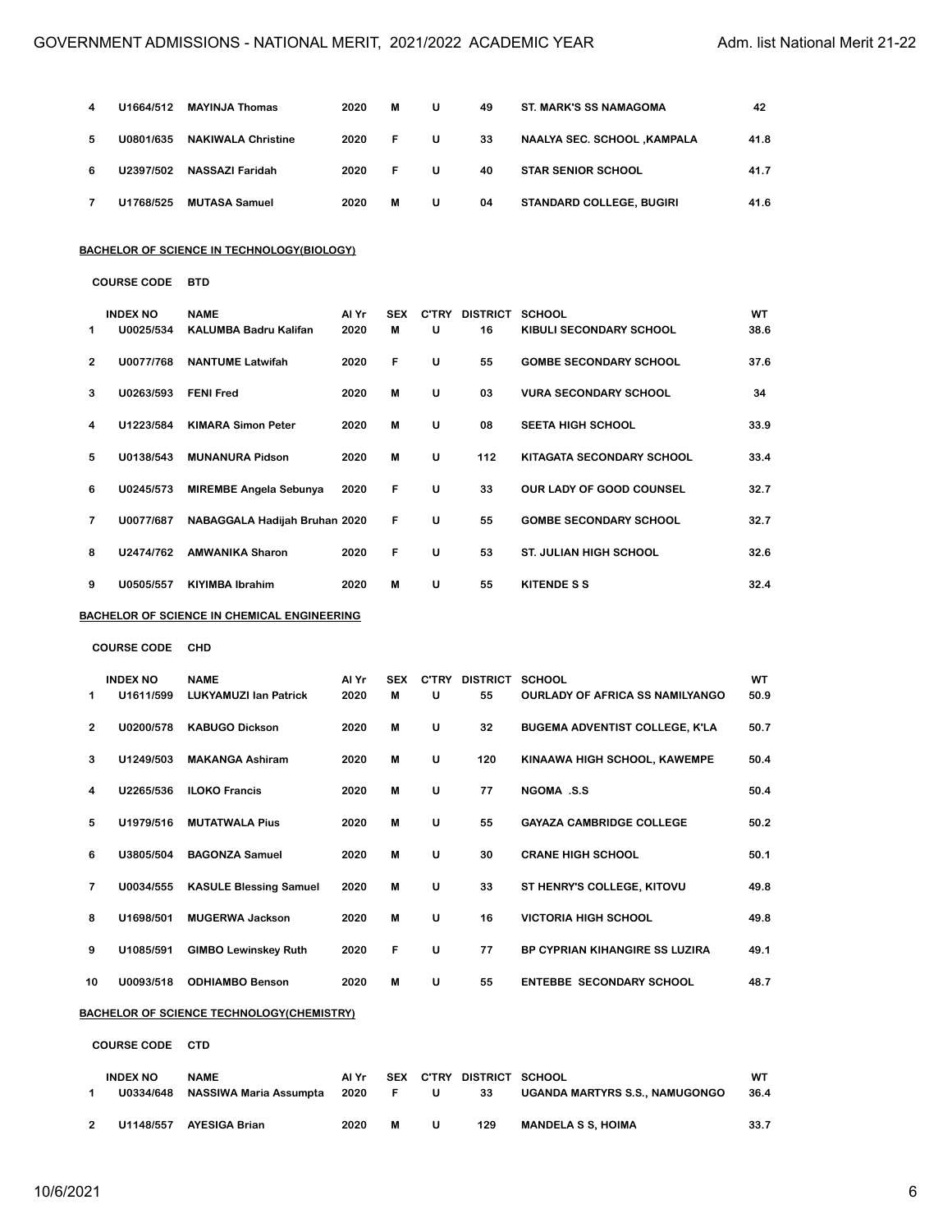| 4 | U1664/512 | <b>MAYINJA Thomas</b>     | 2020 | м  | U | 49 | <b>ST. MARK'S SS NAMAGOMA</b>      | 42   |
|---|-----------|---------------------------|------|----|---|----|------------------------------------|------|
| 5 | U0801/635 | <b>NAKIWALA Christine</b> | 2020 | F. | U | 33 | <b>NAALYA SEC. SCHOOL ,KAMPALA</b> | 41.8 |
| 6 | U2397/502 | NASSAZI Faridah           | 2020 | F. | U | 40 | <b>STAR SENIOR SCHOOL</b>          | 41.7 |
|   | U1768/525 | <b>MUTASA Samuel</b>      | 2020 | М  | U | 04 | <b>STANDARD COLLEGE, BUGIRI</b>    | 41.6 |

#### **BACHELOR OF SCIENCE IN TECHNOLOGY(BIOLOGY)**

|                | <b>INDEX NO</b> | <b>NAME</b>                   | Al Yr | <b>SEX</b> | <b>C'TRY</b> | <b>DISTRICT</b> | <b>SCHOOL</b>                 | WT   |
|----------------|-----------------|-------------------------------|-------|------------|--------------|-----------------|-------------------------------|------|
| 1              | U0025/534       | <b>KALUMBA Badru Kalifan</b>  | 2020  | M          | U            | 16              | KIBULI SECONDARY SCHOOL       | 38.6 |
| $\overline{2}$ | U0077/768       | <b>NANTUME Latwifah</b>       | 2020  | F          | U            | 55              | <b>GOMBE SECONDARY SCHOOL</b> | 37.6 |
| 3              | U0263/593       | <b>FENI Fred</b>              | 2020  | м          | U            | 03              | <b>VURA SECONDARY SCHOOL</b>  | 34   |
| 4              | U1223/584       | <b>KIMARA Simon Peter</b>     | 2020  | M          | U            | 08              | <b>SEETA HIGH SCHOOL</b>      | 33.9 |
| 5              | U0138/543       | <b>MUNANURA Pidson</b>        | 2020  | M          | U            | 112             | KITAGATA SECONDARY SCHOOL     | 33.4 |
| 6              | U0245/573       | <b>MIREMBE Angela Sebunya</b> | 2020  | F          | U            | 33              | OUR LADY OF GOOD COUNSEL      | 32.7 |
| 7              | U0077/687       | NABAGGALA Hadijah Bruhan 2020 |       | F          | U            | 55              | <b>GOMBE SECONDARY SCHOOL</b> | 32.7 |
| 8              | U2474/762       | <b>AMWANIKA Sharon</b>        | 2020  | F          | U            | 53              | <b>ST. JULIAN HIGH SCHOOL</b> | 32.6 |
| 9              | U0505/557       | <b>KIYIMBA Ibrahim</b>        | 2020  | M          | U            | 55              | <b>KITENDE S S</b>            | 32.4 |

### **BACHELOR OF SCIENCE IN CHEMICAL ENGINEERING**

**COURSE CODE CHD**

|    | <b>INDEX NO</b> | <b>NAME</b>                   | Al Yr | <b>SEX</b> | <b>C'TRY</b> | <b>DISTRICT</b> | <b>SCHOOL</b>                          | <b>WT</b> |
|----|-----------------|-------------------------------|-------|------------|--------------|-----------------|----------------------------------------|-----------|
| 1  | U1611/599       | <b>LUKYAMUZI Ian Patrick</b>  | 2020  | м          | U            | 55              | <b>OURLADY OF AFRICA SS NAMILYANGO</b> | 50.9      |
| 2  | U0200/578       | <b>KABUGO Dickson</b>         | 2020  | м          | U            | 32              | <b>BUGEMA ADVENTIST COLLEGE, K'LA</b>  | 50.7      |
| 3  | U1249/503       | <b>MAKANGA Ashiram</b>        | 2020  | M          | U            | 120             | KINAAWA HIGH SCHOOL, KAWEMPE           | 50.4      |
| 4  | U2265/536       | <b>ILOKO Francis</b>          | 2020  | м          | U            | 77              | <b>NGOMA .S.S</b>                      | 50.4      |
| 5  | U1979/516       | <b>MUTATWALA Pius</b>         | 2020  | M          | U            | 55              | <b>GAYAZA CAMBRIDGE COLLEGE</b>        | 50.2      |
| 6  | U3805/504       | <b>BAGONZA Samuel</b>         | 2020  | м          | U            | 30              | <b>CRANE HIGH SCHOOL</b>               | 50.1      |
| 7  | U0034/555       | <b>KASULE Blessing Samuel</b> | 2020  | M          | U            | 33              | ST HENRY'S COLLEGE, KITOVU             | 49.8      |
| 8  | U1698/501       | <b>MUGERWA Jackson</b>        | 2020  | M          | U            | 16              | <b>VICTORIA HIGH SCHOOL</b>            | 49.8      |
| 9  | U1085/591       | <b>GIMBO Lewinskey Ruth</b>   | 2020  | F          | U            | 77              | <b>BP CYPRIAN KIHANGIRE SS LUZIRA</b>  | 49.1      |
| 10 | U0093/518       | <b>ODHIAMBO Benson</b>        | 2020  | M          | U            | 55              | <b>ENTEBBE SECONDARY SCHOOL</b>        | 48.7      |
|    |                 |                               |       |            |              |                 |                                        |           |

#### **BACHELOR OF SCIENCE TECHNOLOGY(CHEMISTRY)**

### **COURSE CODE CTD**

| <b>INDEX NO</b> | <b>NAME</b><br>U0334/648 NASSIWA Maria Assumpta 2020 | Al Yr | 30 F 3 | U            | SEX C'TRY DISTRICT SCHOOL<br>33 | UGANDA MARTYRS S.S., NAMUGONGO | wт<br>- 36.4 |
|-----------------|------------------------------------------------------|-------|--------|--------------|---------------------------------|--------------------------------|--------------|
|                 | U1148/557 AYESIGA Brian                              | 2020  | м      | $\mathbf{u}$ | 129                             | <b>MANDELA S S. HOIMA</b>      | 33.7         |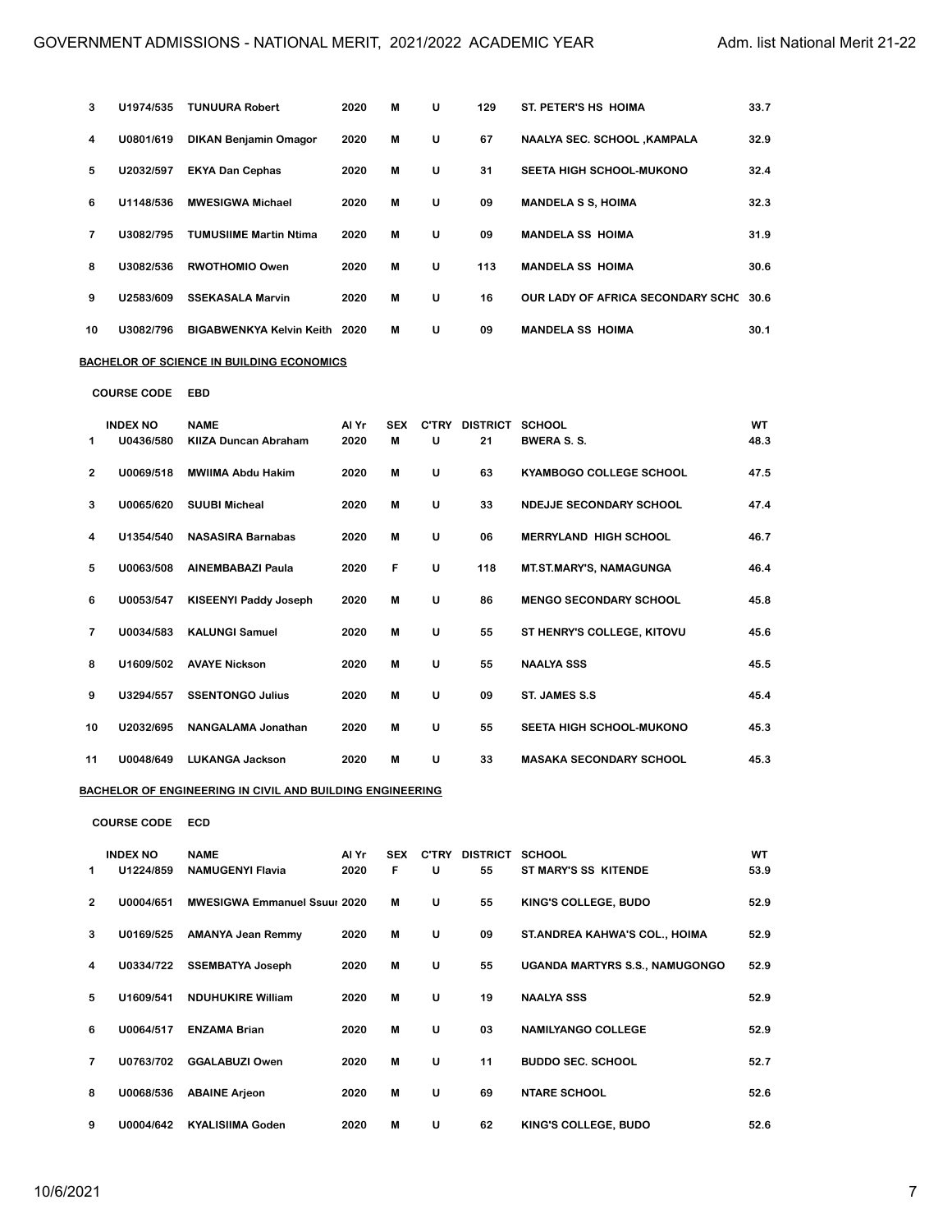| 3              | U1974/535 | <b>TUNUURA Robert</b>         | 2020 | м | U | 129 | ST. PETER'S HS HOIMA               | 33.7 |
|----------------|-----------|-------------------------------|------|---|---|-----|------------------------------------|------|
| 4              | U0801/619 | <b>DIKAN Benjamin Omagor</b>  | 2020 | м | U | 67  | <b>NAALYA SEC. SCHOOL ,KAMPALA</b> | 32.9 |
| 5              | U2032/597 | <b>EKYA Dan Cephas</b>        | 2020 | м | U | 31  | <b>SEETA HIGH SCHOOL-MUKONO</b>    | 32.4 |
| 6              | U1148/536 | <b>MWESIGWA Michael</b>       | 2020 | м | U | 09  | <b>MANDELA S S, HOIMA</b>          | 32.3 |
| $\overline{7}$ | U3082/795 | <b>TUMUSIIME Martin Ntima</b> | 2020 | м | U | 09  | <b>MANDELA SS HOIMA</b>            | 31.9 |
| 8              | U3082/536 | <b>RWOTHOMIO Owen</b>         | 2020 | м | U | 113 | <b>MANDELA SS HOIMA</b>            | 30.6 |
| 9              | U2583/609 | <b>SSEKASALA Marvin</b>       | 2020 | м | U | 16  | OUR LADY OF AFRICA SECONDARY SCHC  | 30.6 |
| 10             | U3082/796 | BIGABWENKYA Kelvin Keith 2020 |      | м | U | 09  | <b>MANDELA SS HOIMA</b>            | 30.1 |

### **BACHELOR OF SCIENCE IN BUILDING ECONOMICS**

**COURSE CODE EBD**

|                | <b>INDEX NO</b> | <b>NAME</b>                  | Al Yr | <b>SEX</b> | <b>C'TRY</b> | <b>DISTRICT</b> | <b>SCHOOL</b>                   | WT   |
|----------------|-----------------|------------------------------|-------|------------|--------------|-----------------|---------------------------------|------|
| 1              | U0436/580       | <b>KIIZA Duncan Abraham</b>  | 2020  | м          | U            | 21              | <b>BWERA S. S.</b>              | 48.3 |
| $\overline{2}$ | U0069/518       | <b>MWIIMA Abdu Hakim</b>     | 2020  | M          | U            | 63              | <b>KYAMBOGO COLLEGE SCHOOL</b>  | 47.5 |
| 3              | U0065/620       | <b>SUUBI Micheal</b>         | 2020  | M          | U            | 33              | NDEJJE SECONDARY SCHOOL         | 47.4 |
| 4              | U1354/540       | <b>NASASIRA Barnabas</b>     | 2020  | M          | U            | 06              | <b>MERRYLAND HIGH SCHOOL</b>    | 46.7 |
| 5              | U0063/508       | <b>AINEMBABAZI Paula</b>     | 2020  | F          | U            | 118             | <b>MT.ST.MARY'S, NAMAGUNGA</b>  | 46.4 |
| 6              | U0053/547       | <b>KISEENYI Paddy Joseph</b> | 2020  | м          | U            | 86              | <b>MENGO SECONDARY SCHOOL</b>   | 45.8 |
| 7              | U0034/583       | <b>KALUNGI Samuel</b>        | 2020  | м          | U            | 55              | ST HENRY'S COLLEGE, KITOVU      | 45.6 |
| 8              | U1609/502       | <b>AVAYE Nickson</b>         | 2020  | м          | U            | 55              | <b>NAALYA SSS</b>               | 45.5 |
| 9              | U3294/557       | <b>SSENTONGO Julius</b>      | 2020  | м          | U            | 09              | ST. JAMES S.S.                  | 45.4 |
| 10             | U2032/695       | NANGALAMA Jonathan           | 2020  | M          | U            | 55              | <b>SEETA HIGH SCHOOL-MUKONO</b> | 45.3 |
| 11             | U0048/649       | <b>LUKANGA Jackson</b>       | 2020  | М          | U            | 33              | <b>MASAKA SECONDARY SCHOOL</b>  | 45.3 |

### **BACHELOR OF ENGINEERING IN CIVIL AND BUILDING ENGINEERING**

### **COURSE CODE ECD**

|               | <b>INDEX NO</b> | <b>NAME</b>                         | Al Yr | <b>SEX</b> | <b>C'TRY</b> | <b>DISTRICT</b> | <b>SCHOOL</b>                         | WT   |
|---------------|-----------------|-------------------------------------|-------|------------|--------------|-----------------|---------------------------------------|------|
| 1             | U1224/859       | <b>NAMUGENYI Flavia</b>             | 2020  | F          | U            | 55              | ST MARY'S SS KITENDE                  | 53.9 |
| $\mathcal{P}$ | U0004/651       | <b>MWESIGWA Emmanuel Ssuur 2020</b> |       | м          | U            | 55              | KING'S COLLEGE, BUDO                  | 52.9 |
| 3             | U0169/525       | <b>AMANYA Jean Remmy</b>            | 2020  | м          | U            | 09              | ST. ANDREA KAHWA'S COL., HOIMA        | 52.9 |
| 4             | U0334/722       | <b>SSEMBATYA Joseph</b>             | 2020  | M          | U            | 55              | <b>UGANDA MARTYRS S.S., NAMUGONGO</b> | 52.9 |
| 5             | U1609/541       | <b>NDUHUKIRE William</b>            | 2020  | M          | U            | 19              | <b>NAALYA SSS</b>                     | 52.9 |
| 6             | U0064/517       | <b>ENZAMA Brian</b>                 | 2020  | M          | U            | 03              | <b>NAMILYANGO COLLEGE</b>             | 52.9 |
| 7             | U0763/702       | <b>GGALABUZI Owen</b>               | 2020  | м          | U            | 11              | <b>BUDDO SEC. SCHOOL</b>              | 52.7 |
| 8             | U0068/536       | <b>ABAINE Arjeon</b>                | 2020  | M          | U            | 69              | <b>NTARE SCHOOL</b>                   | 52.6 |
| 9             | U0004/642       | <b>KYALISIIMA Goden</b>             | 2020  | M          | U            | 62              | KING'S COLLEGE, BUDO                  | 52.6 |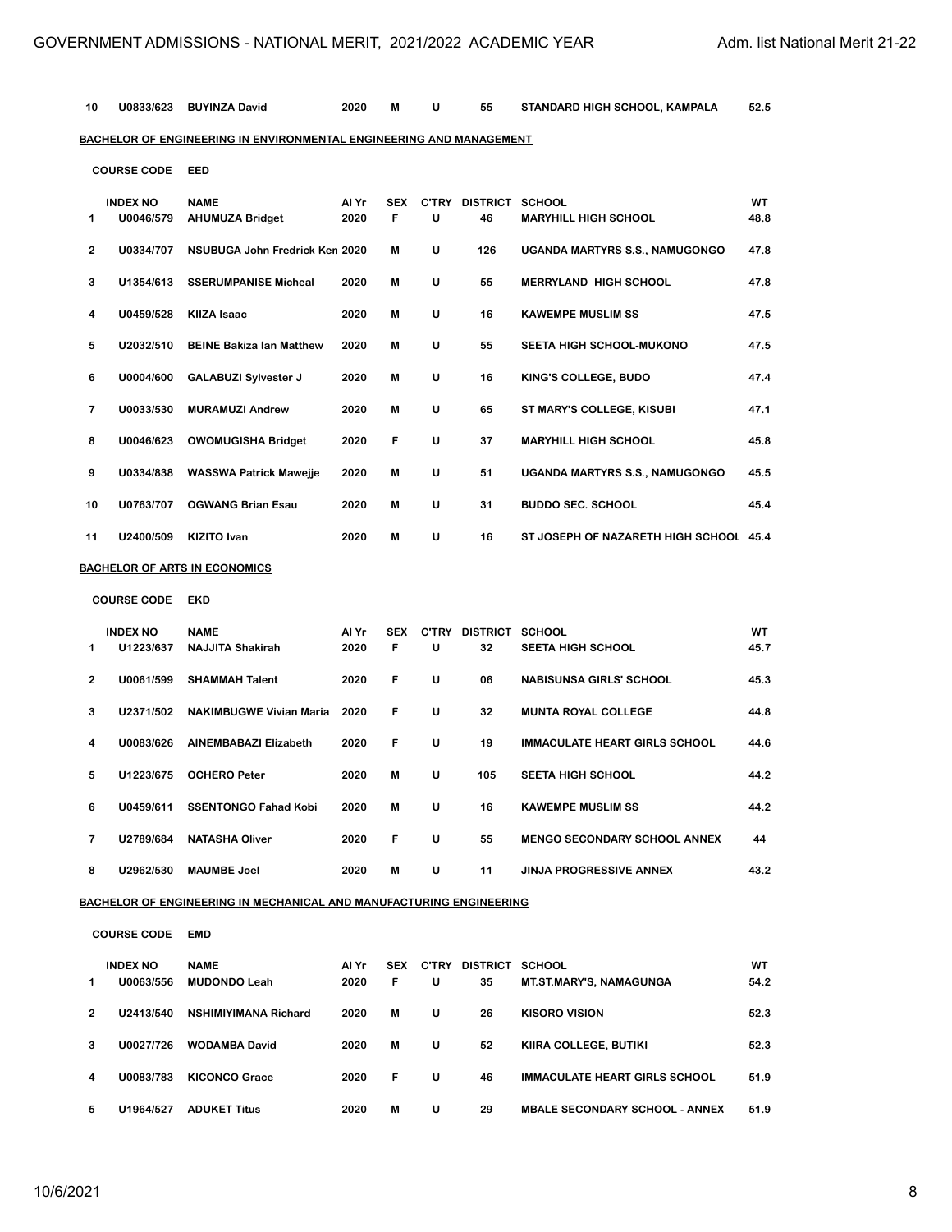| 10 | U0833/623                    | <b>BUYINZA David</b>                                                       | 2020          | M               | U | 55                          | STANDARD HIGH SCHOOL, KAMPALA          | 52.5       |
|----|------------------------------|----------------------------------------------------------------------------|---------------|-----------------|---|-----------------------------|----------------------------------------|------------|
|    |                              | BACHELOR OF ENGINEERING IN ENVIRONMENTAL ENGINEERING AND MANAGEMENT        |               |                 |   |                             |                                        |            |
|    | <b>COURSE CODE</b>           | EED                                                                        |               |                 |   |                             |                                        |            |
| 1  | <b>INDEX NO</b><br>U0046/579 | <b>NAME</b><br><b>AHUMUZA Bridget</b>                                      | Al Yr<br>2020 | <b>SEX</b><br>F | U | C'TRY DISTRICT SCHOOL<br>46 | <b>MARYHILL HIGH SCHOOL</b>            | WT<br>48.8 |
| 2  | U0334/707                    | <b>NSUBUGA John Fredrick Ken 2020</b>                                      |               | M               | U | 126                         | <b>UGANDA MARTYRS S.S., NAMUGONGO</b>  | 47.8       |
| 3  | U1354/613                    | <b>SSERUMPANISE Micheal</b>                                                | 2020          | M               | U | 55                          | <b>MERRYLAND HIGH SCHOOL</b>           | 47.8       |
| 4  | U0459/528                    | <b>KIIZA Isaac</b>                                                         | 2020          | M               | U | 16                          | <b>KAWEMPE MUSLIM SS</b>               | 47.5       |
| 5  | U2032/510                    | <b>BEINE Bakiza Ian Matthew</b>                                            | 2020          | M               | U | 55                          | SEETA HIGH SCHOOL-MUKONO               | 47.5       |
| 6  | U0004/600                    | <b>GALABUZI Sylvester J</b>                                                | 2020          | M               | U | 16                          | KING'S COLLEGE, BUDO                   | 47.4       |
| 7  | U0033/530                    | <b>MURAMUZI Andrew</b>                                                     | 2020          | M               | U | 65                          | ST MARY'S COLLEGE, KISUBI              | 47.1       |
| 8  | U0046/623                    | <b>OWOMUGISHA Bridget</b>                                                  | 2020          | F               | U | 37                          | <b>MARYHILL HIGH SCHOOL</b>            | 45.8       |
| 9  | U0334/838                    | <b>WASSWA Patrick Mawejje</b>                                              | 2020          | M               | U | 51                          | <b>UGANDA MARTYRS S.S., NAMUGONGO</b>  | 45.5       |
| 10 | U0763/707                    | <b>OGWANG Brian Esau</b>                                                   | 2020          | M               | U | 31                          | <b>BUDDO SEC. SCHOOL</b>               | 45.4       |
| 11 | U2400/509                    | KIZITO Ivan                                                                | 2020          | M               | U | 16                          | ST JOSEPH OF NAZARETH HIGH SCHOOL 45.4 |            |
|    |                              | <b>BACHELOR OF ARTS IN ECONOMICS</b>                                       |               |                 |   |                             |                                        |            |
|    | <b>COURSE CODE</b>           | EKD                                                                        |               |                 |   |                             |                                        |            |
| 1  | <b>INDEX NO</b><br>U1223/637 | <b>NAME</b><br><b>NAJJITA Shakirah</b>                                     | Al Yr<br>2020 | <b>SEX</b><br>F | U | C'TRY DISTRICT SCHOOL<br>32 | <b>SEETA HIGH SCHOOL</b>               | WT<br>45.7 |
| 2  | U0061/599                    | <b>SHAMMAH Talent</b>                                                      | 2020          | F               | U | 06                          | <b>NABISUNSA GIRLS' SCHOOL</b>         | 45.3       |
| 3  | U2371/502                    | <b>NAKIMBUGWE Vivian Maria</b>                                             | 2020          | F               | U | 32                          | <b>MUNTA ROYAL COLLEGE</b>             | 44.8       |
| 4  | U0083/626                    | <b>AINEMBABAZI Elizabeth</b>                                               | 2020          | F               | U | 19                          | <b>IMMACULATE HEART GIRLS SCHOOL</b>   | 44.6       |
| 5  | U1223/675                    | <b>OCHERO Peter</b>                                                        | 2020          | M               | U | 105                         | <b>SEETA HIGH SCHOOL</b>               | 44.2       |
| 6  | U0459/611                    | <b>SSENTONGO Fahad Kobi</b>                                                | 2020          | M               | U | 16                          | <b>KAWEMPE MUSLIM SS</b>               | 44.2       |
| 7  | U2789/684                    | <b>NATASHA Oliver</b>                                                      | 2020          | F               | U | 55                          | <b>MENGO SECONDARY SCHOOL ANNEX</b>    | 44         |
| 8  | U2962/530                    | <b>MAUMBE Joel</b>                                                         | 2020          | M               | U | 11                          | <b>JINJA PROGRESSIVE ANNEX</b>         | 43.2       |
|    |                              | <u>BACHELOR OF ENGINEERING IN MECHANICAL AND MANUFACTURING ENGINEERING</u> |               |                 |   |                             |                                        |            |
|    | <b>COURSE CODE</b>           | EMD                                                                        |               |                 |   |                             |                                        |            |
| 1  | <b>INDEX NO</b><br>U0063/556 | <b>NAME</b><br><b>MUDONDO Leah</b>                                         | Al Yr<br>2020 | <b>SEX</b><br>F | U | C'TRY DISTRICT SCHOOL<br>35 | MT.ST.MARY'S, NAMAGUNGA                | WT<br>54.2 |
| 2  | U2413/540                    | NSHIMIYIMANA Richard                                                       | 2020          | M               | U | 26                          | <b>KISORO VISION</b>                   | 52.3       |
| 3  | U0027/726                    | <b>WODAMBA David</b>                                                       | 2020          | M               | U | 52                          | KIIRA COLLEGE, BUTIKI                  | 52.3       |
| 4  | U0083/783                    | <b>KICONCO Grace</b>                                                       | 2020          | F               | U | 46                          | <b>IMMACULATE HEART GIRLS SCHOOL</b>   | 51.9       |
| 5  | U1964/527                    | <b>ADUKET Titus</b>                                                        | 2020          | М               | U | 29                          | <b>MBALE SECONDARY SCHOOL - ANNEX</b>  | 51.9       |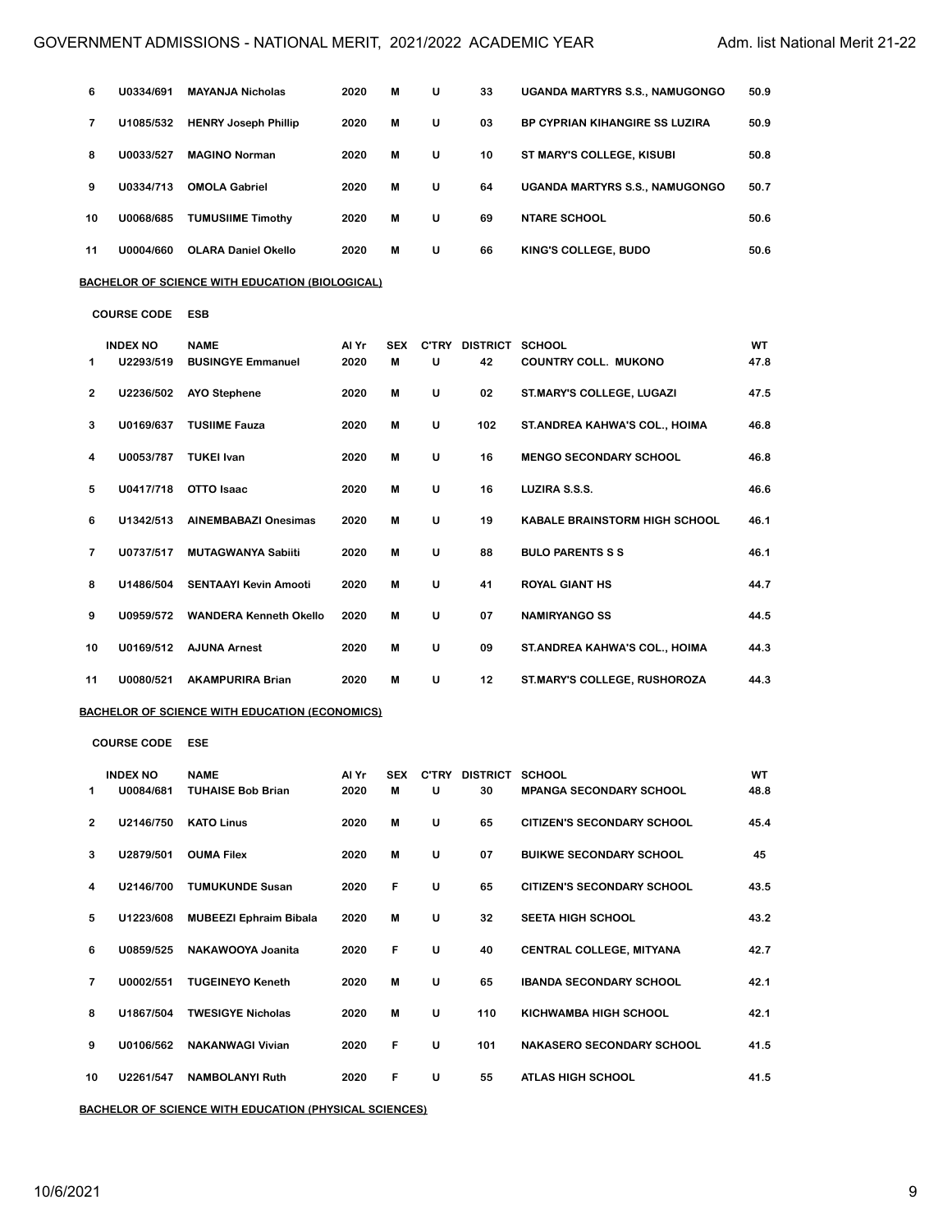| 6  | U0334/691                    | <b>MAYANJA Nicholas</b>                                | 2020          | M               | U | 33                          | UGANDA MARTYRS S.S., NAMUGONGO        | 50.9       |
|----|------------------------------|--------------------------------------------------------|---------------|-----------------|---|-----------------------------|---------------------------------------|------------|
| 7  | U1085/532                    | <b>HENRY Joseph Phillip</b>                            | 2020          | M               | U | 03                          | BP CYPRIAN KIHANGIRE SS LUZIRA        | 50.9       |
| 8  | U0033/527                    | <b>MAGINO Norman</b>                                   | 2020          | M               | U | 10                          | ST MARY'S COLLEGE, KISUBI             | 50.8       |
| 9  | U0334/713                    | <b>OMOLA Gabriel</b>                                   | 2020          | M               | U | 64                          | <b>UGANDA MARTYRS S.S., NAMUGONGO</b> | 50.7       |
| 10 | U0068/685                    | <b>TUMUSIIME Timothy</b>                               | 2020          | M               | U | 69                          | <b>NTARE SCHOOL</b>                   | 50.6       |
| 11 | U0004/660                    | <b>OLARA Daniel Okello</b>                             | 2020          | M               | U | 66                          | KING'S COLLEGE, BUDO                  | 50.6       |
|    |                              | <u>BACHELOR OF SCIENCE WITH EDUCATION (BIOLOGICAL)</u> |               |                 |   |                             |                                       |            |
|    | <b>COURSE CODE</b>           | <b>ESB</b>                                             |               |                 |   |                             |                                       |            |
| 1  | <b>INDEX NO</b><br>U2293/519 | <b>NAME</b><br><b>BUSINGYE Emmanuel</b>                | Al Yr<br>2020 | <b>SEX</b><br>M | U | C'TRY DISTRICT SCHOOL<br>42 | <b>COUNTRY COLL. MUKONO</b>           | WT<br>47.8 |
| 2  | U2236/502                    | <b>AYO Stephene</b>                                    | 2020          | M               | U | 02                          | ST.MARY'S COLLEGE, LUGAZI             | 47.5       |
| 3  | U0169/637                    | <b>TUSIIME Fauza</b>                                   | 2020          | M               | U | 102                         | ST. ANDREA KAHWA'S COL., HOIMA        | 46.8       |
| 4  | U0053/787                    | <b>TUKEI Ivan</b>                                      | 2020          | M               | U | 16                          | <b>MENGO SECONDARY SCHOOL</b>         | 46.8       |
| 5  | U0417/718                    | OTTO Isaac                                             | 2020          | M               | U | 16                          | LUZIRA S.S.S.                         | 46.6       |
| 6  | U1342/513                    | <b>AINEMBABAZI Onesimas</b>                            | 2020          | M               | U | 19                          | <b>KABALE BRAINSTORM HIGH SCHOOL</b>  | 46.1       |
| 7  | U0737/517                    | <b>MUTAGWANYA Sabiiti</b>                              | 2020          | M               | U | 88                          | <b>BULO PARENTS S S</b>               | 46.1       |
| 8  | U1486/504                    | <b>SENTAAYI Kevin Amooti</b>                           | 2020          | M               | U | 41                          | <b>ROYAL GIANT HS</b>                 | 44.7       |
| 9  | U0959/572                    | <b>WANDERA Kenneth Okello</b>                          | 2020          | M               | U | 07                          | <b>NAMIRYANGO SS</b>                  | 44.5       |
| 10 | U0169/512                    | <b>AJUNA Arnest</b>                                    | 2020          | M               | U | 09                          | ST.ANDREA KAHWA'S COL., HOIMA         | 44.3       |
| 11 | U0080/521                    | <b>AKAMPURIRA Brian</b>                                | 2020          | M               | U | 12                          | ST.MARY'S COLLEGE, RUSHOROZA          | 44.3       |
|    |                              | <u>BACHELOR OF SCIENCE WITH EDUCATION (ECONOMICS)</u>  |               |                 |   |                             |                                       |            |
|    | <b>COURSE CODE</b>           | ESE                                                    |               |                 |   |                             |                                       |            |
| 1  | <b>INDEX NO</b><br>U0084/681 | <b>NAME</b><br><b>TUHAISE Bob Brian</b>                | Al Yr<br>2020 | SEX<br>M        | U | C'TRY DISTRICT SCHOOL<br>30 | <b>MPANGA SECONDARY SCHOOL</b>        | WT<br>48.8 |
| 2  | U2146/750                    | <b>KATO Linus</b>                                      | 2020          | M               | U | 65                          | CITIZEN'S SECONDARY SCHOOL            | 45.4       |
| 3  | U2879/501                    | <b>OUMA Filex</b>                                      | 2020          | M               | U | 07                          | <b>BUIKWE SECONDARY SCHOOL</b>        | 45         |
| 4  | U2146/700                    | <b>TUMUKUNDE Susan</b>                                 | 2020          | F               | U | 65                          | CITIZEN'S SECONDARY SCHOOL            | 43.5       |
| 5  | U1223/608                    | <b>MUBEEZI Ephraim Bibala</b>                          | 2020          | M               | U | 32                          | SEETA HIGH SCHOOL                     | 43.2       |
| 6  | U0859/525                    | NAKAWOOYA Joanita                                      | 2020          | F               | U | 40                          | CENTRAL COLLEGE, MITYANA              | 42.7       |
| 7  | U0002/551                    | <b>TUGEINEYO Keneth</b>                                | 2020          | M               | U | 65                          | <b>IBANDA SECONDARY SCHOOL</b>        | 42.1       |
| 8  | U1867/504                    | <b>TWESIGYE Nicholas</b>                               | 2020          | M               | U | 110                         | KICHWAMBA HIGH SCHOOL                 | 42.1       |
| 9  | U0106/562                    | <b>NAKANWAGI Vivian</b>                                | 2020          | F               | U | 101                         | <b>NAKASERO SECONDARY SCHOOL</b>      | 41.5       |
| 10 | U2261/547                    | <b>NAMBOLANYI Ruth</b>                                 | 2020          | F               | U | 55                          | ATLAS HIGH SCHOOL                     | 41.5       |

**BACHELOR OF SCIENCE WITH EDUCATION (PHYSICAL SCIENCES)**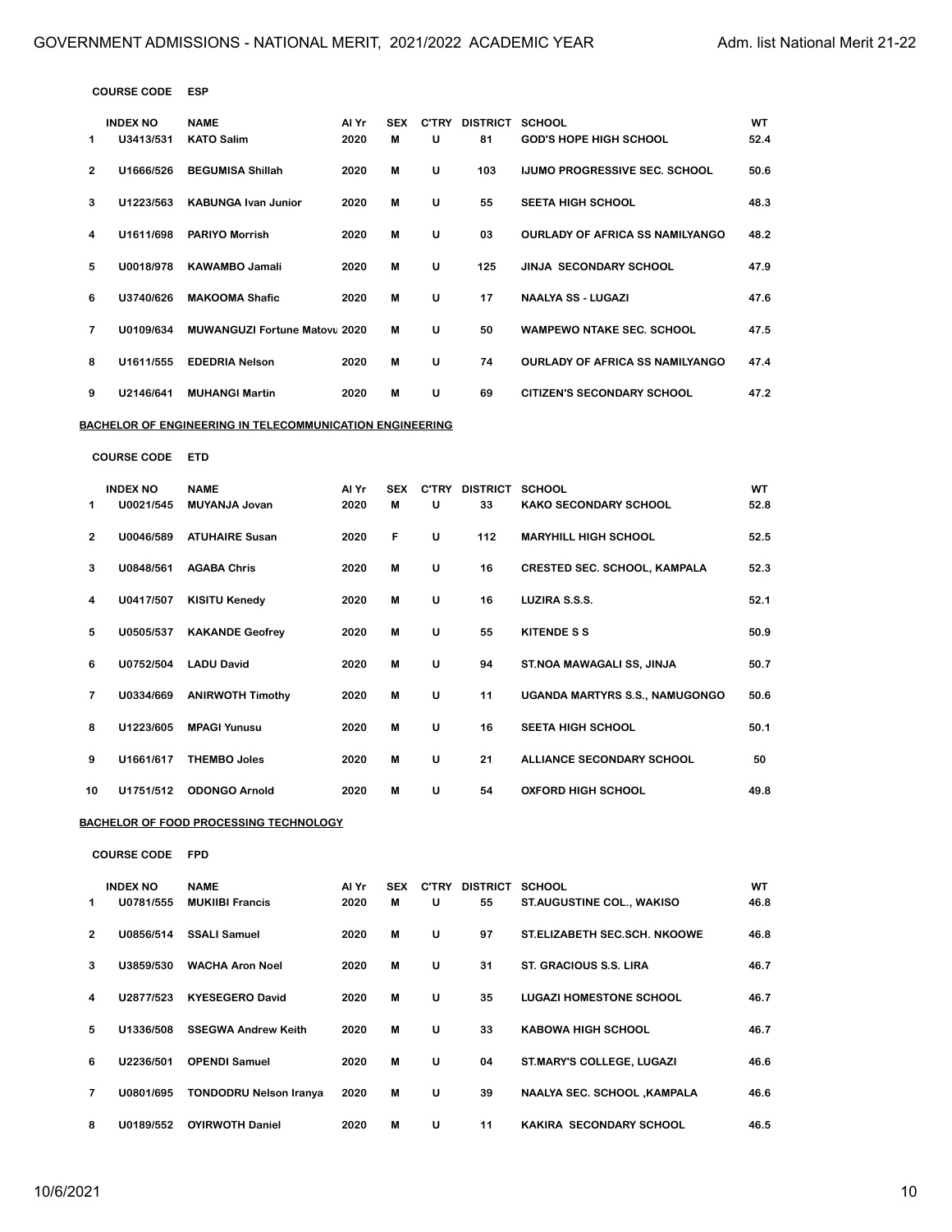| <b>COURSE CODE</b> | ESP |
|--------------------|-----|
|--------------------|-----|

|                | <b>COURSE CODE</b>           | ESP                                                      |               |                 |   |                             |                                        |            |
|----------------|------------------------------|----------------------------------------------------------|---------------|-----------------|---|-----------------------------|----------------------------------------|------------|
| 1              | <b>INDEX NO</b><br>U3413/531 | <b>NAME</b><br><b>KATO Salim</b>                         | Al Yr<br>2020 | <b>SEX</b><br>M | U | C'TRY DISTRICT SCHOOL<br>81 | <b>GOD'S HOPE HIGH SCHOOL</b>          | WT<br>52.4 |
| $\overline{2}$ | U1666/526                    | <b>BEGUMISA Shillah</b>                                  | 2020          | M               | U | 103                         | <b>IJUMO PROGRESSIVE SEC. SCHOOL</b>   | 50.6       |
| 3              | U1223/563                    | <b>KABUNGA Ivan Junior</b>                               | 2020          | M               | U | 55                          | <b>SEETA HIGH SCHOOL</b>               | 48.3       |
| 4              | U1611/698                    | <b>PARIYO Morrish</b>                                    | 2020          | м               | U | 03                          | <b>OURLADY OF AFRICA SS NAMILYANGO</b> | 48.2       |
| 5              | U0018/978                    | <b>KAWAMBO Jamali</b>                                    | 2020          | M               | U | 125                         | <b>JINJA SECONDARY SCHOOL</b>          | 47.9       |
| 6              | U3740/626                    | <b>MAKOOMA Shafic</b>                                    | 2020          | M               | U | 17                          | <b>NAALYA SS - LUGAZI</b>              | 47.6       |
| 7              | U0109/634                    | <b>MUWANGUZI Fortune Matovu 2020</b>                     |               | M               | U | 50                          | <b>WAMPEWO NTAKE SEC. SCHOOL</b>       | 47.5       |
| 8              | U1611/555                    | <b>EDEDRIA Nelson</b>                                    | 2020          | M               | U | 74                          | <b>OURLADY OF AFRICA SS NAMILYANGO</b> | 47.4       |
| 9              | U2146/641                    | <b>MUHANGI Martin</b>                                    | 2020          | М               | U | 69                          | <b>CITIZEN'S SECONDARY SCHOOL</b>      | 47.2       |
|                |                              | BACHELOR OF ENGINEERING IN TELECOMMUNICATION ENGINEERING |               |                 |   |                             |                                        |            |
|                | <b>COURSE CODE</b>           | <b>ETD</b>                                               |               |                 |   |                             |                                        |            |
| 1              | <b>INDEX NO</b><br>U0021/545 | <b>NAME</b><br><b>MUYANJA Jovan</b>                      | Al Yr<br>2020 | <b>SEX</b><br>м | U | C'TRY DISTRICT SCHOOL<br>33 | <b>KAKO SECONDARY SCHOOL</b>           | WT<br>52.8 |
| 2              | U0046/589                    | <b>ATUHAIRE Susan</b>                                    | 2020          | F               | U | 112                         | <b>MARYHILL HIGH SCHOOL</b>            | 52.5       |
| 3              | U0848/561                    | <b>AGABA Chris</b>                                       | 2020          | M               | U | 16                          | <b>CRESTED SEC. SCHOOL, KAMPALA</b>    | 52.3       |
| 4              | U0417/507                    | <b>KISITU Kenedy</b>                                     | 2020          | м               | U | 16                          | LUZIRA S.S.S.                          | 52.1       |
| 5              | U0505/537                    | <b>KAKANDE Geofrey</b>                                   | 2020          | М               | U | 55                          | <b>KITENDE S S</b>                     | 50.9       |
| 6              | U0752/504                    | <b>LADU David</b>                                        | 2020          | М               | U | 94                          | ST.NOA MAWAGALI SS, JINJA              | 50.7       |
| 7              | U0334/669                    | <b>ANIRWOTH Timothy</b>                                  | 2020          | м               | U | 11                          | UGANDA MARTYRS S.S., NAMUGONGO         | 50.6       |
| 8              | U1223/605                    | <b>MPAGI Yunusu</b>                                      | 2020          | M               | U | 16                          | <b>SEETA HIGH SCHOOL</b>               | 50.1       |
| 9              | U1661/617                    | <b>THEMBO Joles</b>                                      | 2020          | M               | U | 21                          | ALLIANCE SECONDARY SCHOOL              | 50         |
| 10             | U1751/512                    | <b>ODONGO Arnold</b>                                     | 2020          | M               | U | 54                          | <b>OXFORD HIGH SCHOOL</b>              | 49.8       |
|                |                              | <b>BACHELOR OF FOOD PROCESSING TECHNOLOGY</b>            |               |                 |   |                             |                                        |            |
|                | <b>COURSE CODE</b>           | <b>FPD</b>                                               |               |                 |   |                             |                                        |            |
| 1              | <b>INDEX NO</b><br>U0781/555 | <b>NAME</b><br><b>MUKIIBI Francis</b>                    | Al Yr<br>2020 | <b>SEX</b><br>M | U | C'TRY DISTRICT SCHOOL<br>55 | <b>ST.AUGUSTINE COL., WAKISO</b>       | WТ<br>46.8 |
| 2              | U0856/514                    | <b>SSALI Samuel</b>                                      | 2020          | M               | U | 97                          | ST.ELIZABETH SEC.SCH. NKOOWE           | 46.8       |
| 3              | U3859/530                    | <b>WACHA Aron Noel</b>                                   | 2020          | M               | U | 31                          | ST. GRACIOUS S.S. LIRA                 | 46.7       |
| 4              | U2877/523                    | <b>KYESEGERO David</b>                                   | 2020          | М               | U | 35                          | <b>LUGAZI HOMESTONE SCHOOL</b>         | 46.7       |
| 5              | U1336/508                    | <b>SSEGWA Andrew Keith</b>                               | 2020          | M               | U | 33                          | <b>KABOWA HIGH SCHOOL</b>              | 46.7       |
| 6              | U2236/501                    | <b>OPENDI Samuel</b>                                     | 2020          | M               | U | 04                          | ST.MARY'S COLLEGE, LUGAZI              | 46.6       |
| 7              | U0801/695                    | <b>TONDODRU Nelson Iranya</b>                            | 2020          | м               | U | 39                          | <b>NAALYA SEC. SCHOOL , KAMPALA</b>    | 46.6       |

**U0189/552 OYIRWOTH Daniel 2020 M U 11 KAKIRA SECONDARY SCHOOL 46.5**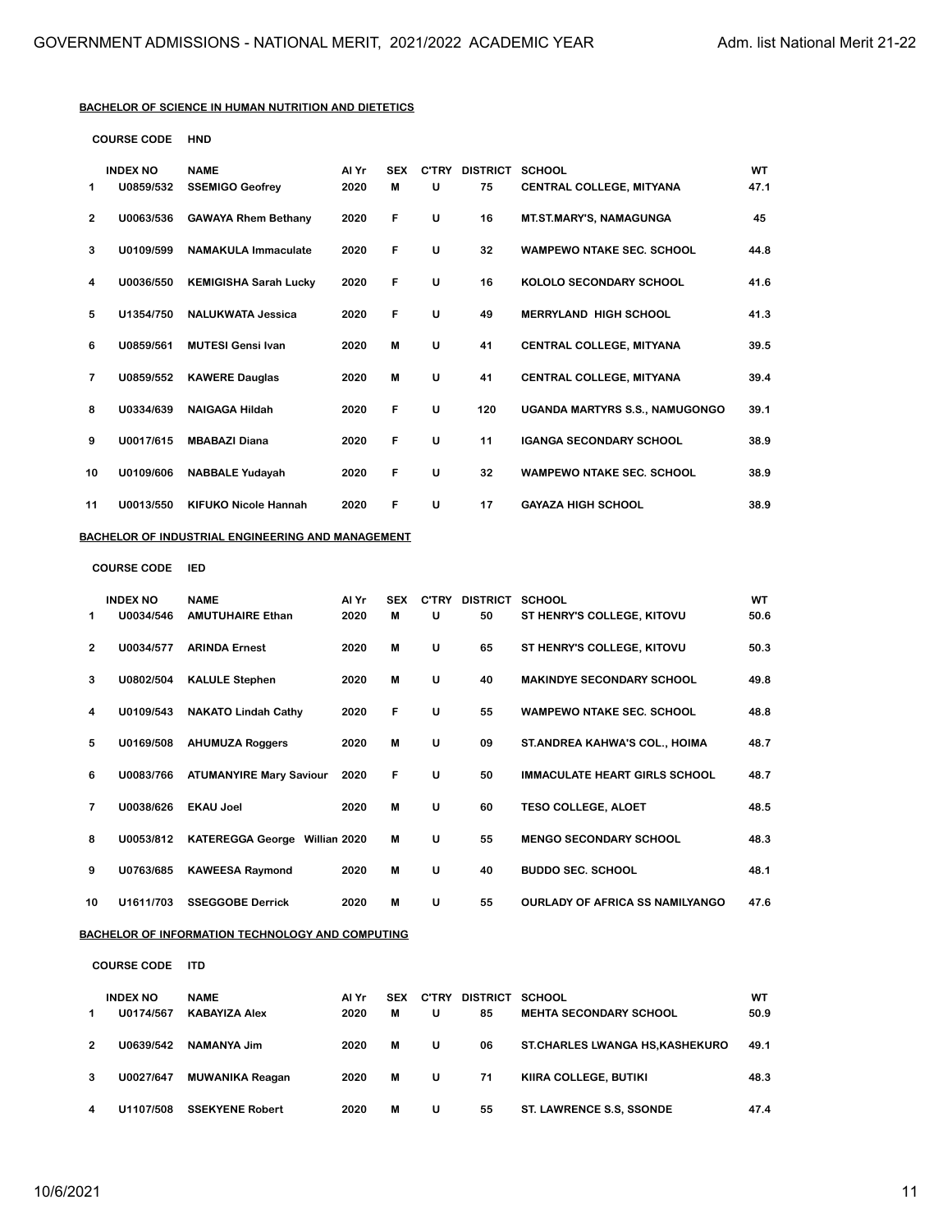#### **BACHELOR OF SCIENCE IN HUMAN NUTRITION AND DIETETICS**

| <b>COURSE CODE</b> | HND |
|--------------------|-----|
|--------------------|-----|

|                | <b>INDEX NO</b> | <b>NAME</b>                  | Al Yr | <b>SEX</b> | <b>C'TRY</b> | <b>DISTRICT</b> | <b>SCHOOL</b>                         | WT   |
|----------------|-----------------|------------------------------|-------|------------|--------------|-----------------|---------------------------------------|------|
| 1              | U0859/532       | <b>SSEMIGO Geofrey</b>       | 2020  | M          | U            | 75              | <b>CENTRAL COLLEGE, MITYANA</b>       | 47.1 |
| $\overline{2}$ | U0063/536       | <b>GAWAYA Rhem Bethany</b>   | 2020  | F          | U            | 16              | <b>MT.ST.MARY'S, NAMAGUNGA</b>        | 45   |
| 3              | U0109/599       | <b>NAMAKULA Immaculate</b>   | 2020  | F          | U            | 32              | <b>WAMPEWO NTAKE SEC. SCHOOL</b>      | 44.8 |
| 4              | U0036/550       | <b>KEMIGISHA Sarah Lucky</b> | 2020  | F          | U            | 16              | KOLOLO SECONDARY SCHOOL               | 41.6 |
| 5              | U1354/750       | <b>NALUKWATA Jessica</b>     | 2020  | F          | U            | 49              | <b>MERRYLAND HIGH SCHOOL</b>          | 41.3 |
| 6              | U0859/561       | <b>MUTESI Gensi Ivan</b>     | 2020  | M          | U            | 41              | <b>CENTRAL COLLEGE, MITYANA</b>       | 39.5 |
| 7              | U0859/552       | <b>KAWERE Dauglas</b>        | 2020  | M          | U            | 41              | <b>CENTRAL COLLEGE, MITYANA</b>       | 39.4 |
| 8              | U0334/639       | <b>NAIGAGA Hildah</b>        | 2020  | F          | U            | 120             | <b>UGANDA MARTYRS S.S., NAMUGONGO</b> | 39.1 |
| 9              | U0017/615       | <b>MBABAZI Diana</b>         | 2020  | F          | U            | 11              | <b>IGANGA SECONDARY SCHOOL</b>        | 38.9 |
| 10             | U0109/606       | <b>NABBALE Yudayah</b>       | 2020  | F          | U            | 32              | <b>WAMPEWO NTAKE SEC. SCHOOL</b>      | 38.9 |
| 11             | U0013/550       | <b>KIFUKO Nicole Hannah</b>  | 2020  | F          | U            | 17              | <b>GAYAZA HIGH SCHOOL</b>             | 38.9 |

#### **BACHELOR OF INDUSTRIAL ENGINEERING AND MANAGEMENT**

**COURSE CODE IED**

|                | <b>INDEX NO</b> | <b>NAME</b>                             | Al Yr | <b>SEX</b> | C'TRY | <b>DISTRICT</b> | <b>SCHOOL</b>                          | <b>WT</b> |
|----------------|-----------------|-----------------------------------------|-------|------------|-------|-----------------|----------------------------------------|-----------|
| 1              | U0034/546       | <b>AMUTUHAIRE Ethan</b>                 | 2020  | М          | U     | 50              | ST HENRY'S COLLEGE, KITOVU             | 50.6      |
| $\overline{2}$ | U0034/577       | <b>ARINDA Ernest</b>                    | 2020  | М          | U     | 65              | ST HENRY'S COLLEGE, KITOVU             | 50.3      |
| 3              | U0802/504       | <b>KALULE Stephen</b>                   | 2020  | M          | U     | 40              | <b>MAKINDYE SECONDARY SCHOOL</b>       | 49.8      |
| 4              | U0109/543       | <b>NAKATO Lindah Cathy</b>              | 2020  | F          | U     | 55              | <b>WAMPEWO NTAKE SEC. SCHOOL</b>       | 48.8      |
| 5              | U0169/508       | <b>AHUMUZA Roggers</b>                  | 2020  | M          | U     | 09              | ST. ANDREA KAHWA'S COL., HOIMA         | 48.7      |
| 6              | U0083/766       | <b>ATUMANYIRE Mary Saviour</b>          | 2020  | F          | U     | 50              | <b>IMMACULATE HEART GIRLS SCHOOL</b>   | 48.7      |
| 7              | U0038/626       | <b>EKAU Joel</b>                        | 2020  | M          | U     | 60              | <b>TESO COLLEGE, ALOET</b>             | 48.5      |
| 8              | U0053/812       | <b>KATEREGGA George</b><br>Willian 2020 |       | M          | U     | 55              | <b>MENGO SECONDARY SCHOOL</b>          | 48.3      |
| 9              | U0763/685       | <b>KAWEESA Raymond</b>                  | 2020  | M          | U     | 40              | <b>BUDDO SEC. SCHOOL</b>               | 48.1      |
| 10             | U1611/703       | <b>SSEGGOBE Derrick</b>                 | 2020  | M          | U     | 55              | <b>OURLADY OF AFRICA SS NAMILYANGO</b> | 47.6      |

### **BACHELOR OF INFORMATION TECHNOLOGY AND COMPUTING**

**COURSE CODE ITD**

|               | <b>INDEX NO</b> | <b>NAME</b>            | Al Yr | <b>SEX</b> | <b>C'TRY</b> | <b>DISTRICT</b> | SCHOOL                                | WT   |  |
|---------------|-----------------|------------------------|-------|------------|--------------|-----------------|---------------------------------------|------|--|
| 1             | U0174/567       | <b>KABAYIZA Alex</b>   | 2020  | М          | U            | 85              | <b>MEHTA SECONDARY SCHOOL</b>         | 50.9 |  |
| $\mathcal{P}$ | U0639/542       | NAMANYA Jim            | 2020  | м          | U            | 06              | <b>ST.CHARLES LWANGA HS.KASHEKURO</b> | 49.1 |  |
| 3             | U0027/647       | <b>MUWANIKA Reagan</b> | 2020  | м          | U            | 71              | KIIRA COLLEGE, BUTIKI                 | 48.3 |  |
| 4             | U1107/508       | <b>SSEKYENE Robert</b> | 2020  | М          | U            | 55              | <b>ST. LAWRENCE S.S. SSONDE</b>       | 47.4 |  |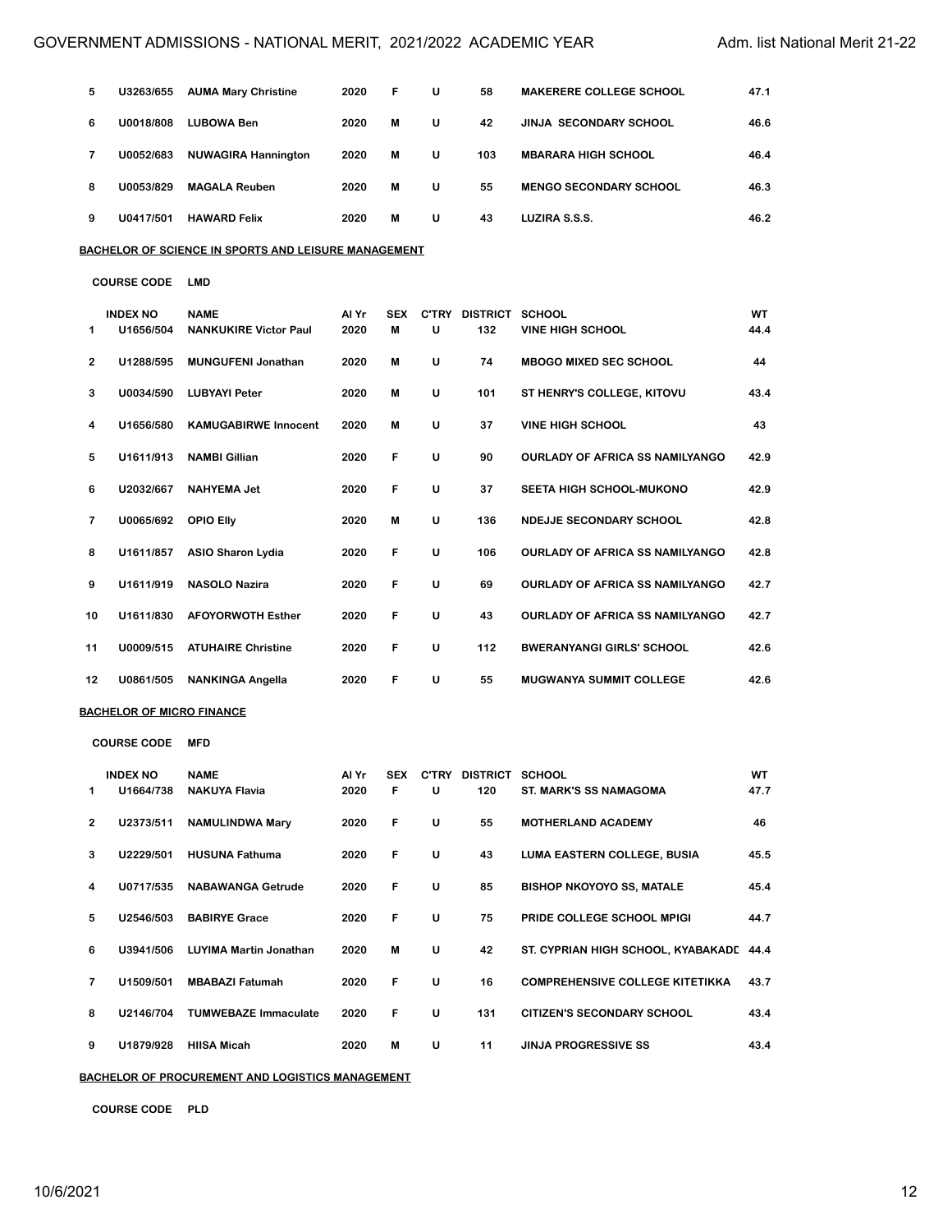| 5 | U3263/655 | <b>AUMA Mary Christine</b> | 2020 | F | U | 58  | <b>MAKERERE COLLEGE SCHOOL</b> | 47.1 |
|---|-----------|----------------------------|------|---|---|-----|--------------------------------|------|
| 6 | U0018/808 | LUBOWA Ben                 | 2020 | м | U | 42  | <b>JINJA SECONDARY SCHOOL</b>  | 46.6 |
|   | U0052/683 | <b>NUWAGIRA Hannington</b> | 2020 | M | U | 103 | <b>MBARARA HIGH SCHOOL</b>     | 46.4 |
| 8 | U0053/829 | <b>MAGALA Reuben</b>       | 2020 | М | U | 55  | <b>MENGO SECONDARY SCHOOL</b>  | 46.3 |
| 9 | U0417/501 | <b>HAWARD Felix</b>        | 2020 | M | U | 43  | LUZIRA S.S.S.                  | 46.2 |

**BACHELOR OF SCIENCE IN SPORTS AND LEISURE MANAGEMENT**

**COURSE CODE LMD**

|              | <b>INDEX NO</b> | <b>NAME</b>                  | Al Yr | <b>SEX</b> | <b>C'TRY</b> | <b>DISTRICT</b> | <b>SCHOOL</b>                          | <b>WT</b> |
|--------------|-----------------|------------------------------|-------|------------|--------------|-----------------|----------------------------------------|-----------|
| 1            | U1656/504       | <b>NANKUKIRE Victor Paul</b> | 2020  | м          | U            | 132             | <b>VINE HIGH SCHOOL</b>                | 44.4      |
| $\mathbf{2}$ | U1288/595       | <b>MUNGUFENI Jonathan</b>    | 2020  | M          | U            | 74              | <b>MBOGO MIXED SEC SCHOOL</b>          | 44        |
| 3            | U0034/590       | <b>LUBYAYI Peter</b>         | 2020  | м          | U            | 101             | ST HENRY'S COLLEGE, KITOVU             | 43.4      |
| 4            | U1656/580       | <b>KAMUGABIRWE Innocent</b>  | 2020  | м          | U            | 37              | <b>VINE HIGH SCHOOL</b>                | 43        |
| 5            | U1611/913       | <b>NAMBI Gillian</b>         | 2020  | F          | U            | 90              | <b>OURLADY OF AFRICA SS NAMILYANGO</b> | 42.9      |
| 6            | U2032/667       | <b>NAHYEMA Jet</b>           | 2020  | F          | U            | 37              | <b>SEETA HIGH SCHOOL-MUKONO</b>        | 42.9      |
| 7            | U0065/692       | <b>OPIO Elly</b>             | 2020  | м          | U            | 136             | NDEJJE SECONDARY SCHOOL                | 42.8      |
| 8            | U1611/857       | <b>ASIO Sharon Lydia</b>     | 2020  | F          | U            | 106             | <b>OURLADY OF AFRICA SS NAMILYANGO</b> | 42.8      |
| 9            | U1611/919       | <b>NASOLO Nazira</b>         | 2020  | F          | U            | 69              | <b>OURLADY OF AFRICA SS NAMILYANGO</b> | 42.7      |
| 10           | U1611/830       | <b>AFOYORWOTH Esther</b>     | 2020  | F          | U            | 43              | <b>OURLADY OF AFRICA SS NAMILYANGO</b> | 42.7      |
| 11           | U0009/515       | <b>ATUHAIRE Christine</b>    | 2020  | F          | U            | 112             | <b>BWERANYANGI GIRLS' SCHOOL</b>       | 42.6      |
| 12           | U0861/505       | <b>NANKINGA Angella</b>      | 2020  | F          | U            | 55              | <b>MUGWANYA SUMMIT COLLEGE</b>         | 42.6      |

#### **BACHELOR OF MICRO FINANCE**

**COURSE CODE MFD INDEX NO NAME Al Yr SEX C'TRY DISTRICT SCHOOL WT U1664/738 NAKUYA Flavia 2020 F U 120 ST. MARK'S SS NAMAGOMA 47.7 U2373/511 NAMULINDWA Mary 2020 F U 55 MOTHERLAND ACADEMY 46 U2229/501 HUSUNA Fathuma 2020 F U 43 LUMA EASTERN COLLEGE, BUSIA 45.5 U0717/535 NABAWANGA Getrude 2020 F U 85 BISHOP NKOYOYO SS, MATALE 45.4 U2546/503 BABIRYE Grace 2020 F U 75 PRIDE COLLEGE SCHOOL MPIGI 44.7 U3941/506 LUYIMA Martin Jonathan 2020 M U 42 ST. CYPRIAN HIGH SCHOOL, KYABAKADDE44.4 U1509/501 MBABAZI Fatumah 2020 F U 16 COMPREHENSIVE COLLEGE KITETIKKA 43.7 U2146/704 TUMWEBAZE Immaculate 2020 F U 131 CITIZEN'S SECONDARY SCHOOL 43.4 U1879/928 HIISA Micah 2020 M U 11 JINJA PROGRESSIVE SS 43.4**

**BACHELOR OF PROCUREMENT AND LOGISTICS MANAGEMENT**

**COURSE CODE PLD**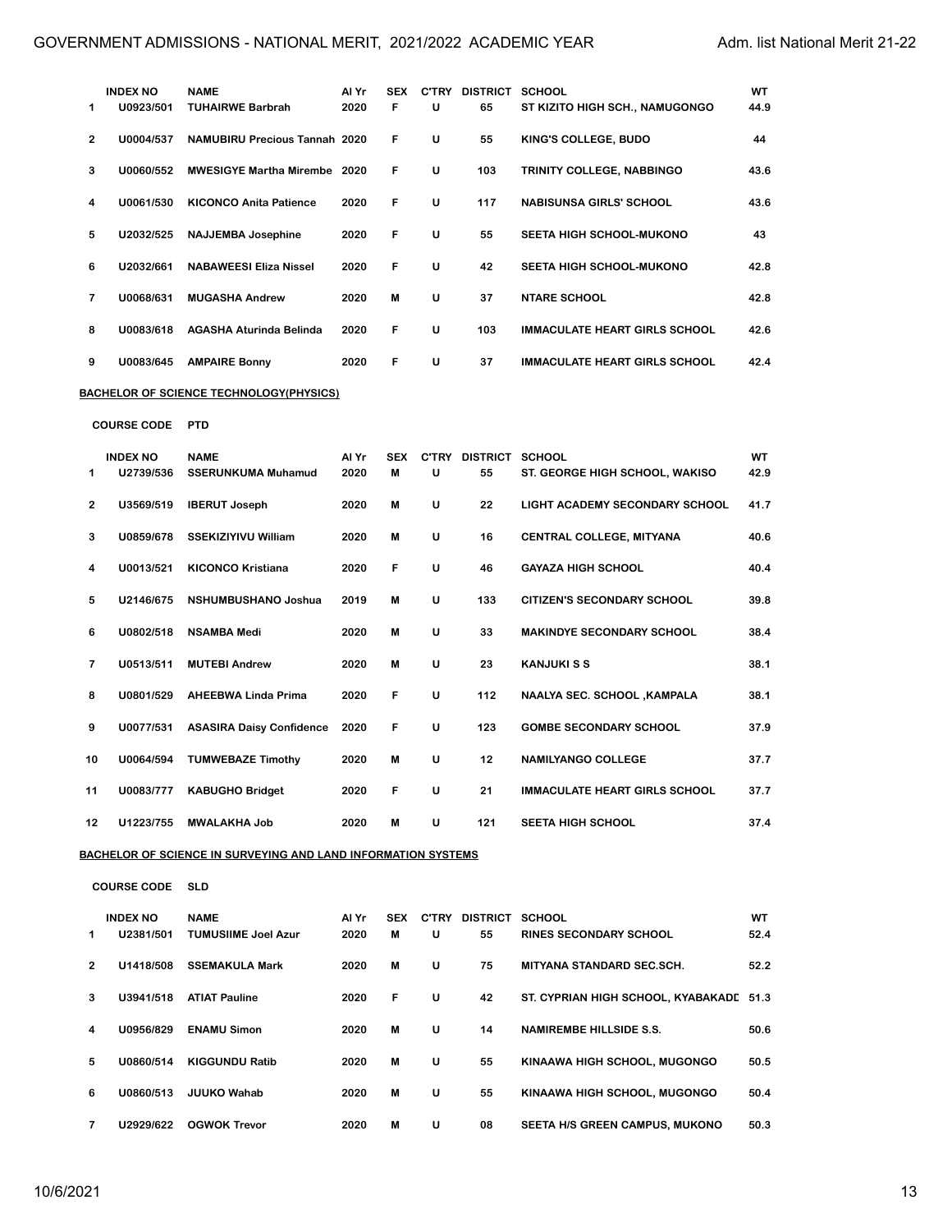| 1  | <b>INDEX NO</b><br>U0923/501 | <b>NAME</b><br><b>TUHAIRWE Barbrah</b>                               | Al Yr<br>2020 | <b>SEX</b><br>F | U | C'TRY DISTRICT SCHOOL<br>65 | ST KIZITO HIGH SCH., NAMUGONGO          | WT<br>44.9 |
|----|------------------------------|----------------------------------------------------------------------|---------------|-----------------|---|-----------------------------|-----------------------------------------|------------|
| 2  | U0004/537                    | <b>NAMUBIRU Precious Tannah 2020</b>                                 |               | F               | U | 55                          | KING'S COLLEGE, BUDO                    | 44         |
| з  | U0060/552                    | <b>MWESIGYE Martha Mirembe</b> 2020                                  |               | F               | U | 103                         | TRINITY COLLEGE, NABBINGO               | 43.6       |
| 4  | U0061/530                    | <b>KICONCO Anita Patience</b>                                        | 2020          | F               | U | 117                         | <b>NABISUNSA GIRLS' SCHOOL</b>          | 43.6       |
| 5  | U2032/525                    | <b>NAJJEMBA Josephine</b>                                            | 2020          | F               | U | 55                          | <b>SEETA HIGH SCHOOL-MUKONO</b>         | 43         |
| 6  | U2032/661                    | <b>NABAWEESI Eliza Nissel</b>                                        | 2020          | F               | U | 42                          | SEETA HIGH SCHOOL-MUKONO                | 42.8       |
| 7  | U0068/631                    | <b>MUGASHA Andrew</b>                                                | 2020          | M               | U | 37                          | <b>NTARE SCHOOL</b>                     | 42.8       |
| 8  | U0083/618                    | AGASHA Aturinda Belinda                                              | 2020          | F               | U | 103                         | <b>IMMACULATE HEART GIRLS SCHOOL</b>    | 42.6       |
| 9  | U0083/645                    | <b>AMPAIRE Bonny</b>                                                 | 2020          | F               | U | 37                          | <b>IMMACULATE HEART GIRLS SCHOOL</b>    | 42.4       |
|    |                              | BACHELOR OF SCIENCE TECHNOLOGY(PHYSICS)                              |               |                 |   |                             |                                         |            |
|    | <b>COURSE CODE</b>           | <b>PTD</b>                                                           |               |                 |   |                             |                                         |            |
| 1  | <b>INDEX NO</b><br>U2739/536 | <b>NAME</b><br><b>SSERUNKUMA Muhamud</b>                             | Al Yr<br>2020 | <b>SEX</b><br>M | U | C'TRY DISTRICT SCHOOL<br>55 | ST. GEORGE HIGH SCHOOL, WAKISO          | WT<br>42.9 |
| 2  | U3569/519                    | <b>IBERUT Joseph</b>                                                 | 2020          | M               | U | 22                          | LIGHT ACADEMY SECONDARY SCHOOL          | 41.7       |
| 3  | U0859/678                    | <b>SSEKIZIYIVU William</b>                                           | 2020          | M               | U | 16                          | <b>CENTRAL COLLEGE, MITYANA</b>         | 40.6       |
| 4  | U0013/521                    | <b>KICONCO Kristiana</b>                                             | 2020          | F               | U | 46                          | <b>GAYAZA HIGH SCHOOL</b>               | 40.4       |
| 5  | U2146/675                    | NSHUMBUSHANO Joshua                                                  | 2019          | M               | U | 133                         | CITIZEN'S SECONDARY SCHOOL              | 39.8       |
| 6  | U0802/518                    | NSAMBA Medi                                                          | 2020          | м               | U | 33                          | <b>MAKINDYE SECONDARY SCHOOL</b>        | 38.4       |
| 7  | U0513/511                    | <b>MUTEBI Andrew</b>                                                 | 2020          | М               | U | 23                          | <b>KANJUKISS</b>                        | 38.1       |
| 8  | U0801/529                    | AHEEBWA Linda Prima                                                  | 2020          | F               | U | 112                         | <b>NAALYA SEC. SCHOOL , KAMPALA</b>     | 38.1       |
| 9  | U0077/531                    | <b>ASASIRA Daisy Confidence</b>                                      | 2020          | F               | U | 123                         | <b>GOMBE SECONDARY SCHOOL</b>           | 37.9       |
| 10 | U0064/594                    | <b>TUMWEBAZE Timothy</b>                                             | 2020          | M               | U | 12                          | <b>NAMILYANGO COLLEGE</b>               | 37.7       |
| 11 | U0083/777                    | <b>KABUGHO Bridget</b>                                               | 2020          | F               | U | 21                          | <b>IMMACULATE HEART GIRLS SCHOOL</b>    | 37.7       |
| 12 | U1223/755                    | <b>MWALAKHA Job</b>                                                  | 2020          | M               | U | 121                         | <b>SEETA HIGH SCHOOL</b>                | 37.4       |
|    |                              | <u>BACHELOR OF SCIENCE IN SURVEYING AND LAND INFORMATION SYSTEMS</u> |               |                 |   |                             |                                         |            |
|    | <b>COURSE CODE</b>           | <b>SLD</b>                                                           |               |                 |   |                             |                                         |            |
|    | <b>INDEX NO</b>              | <b>NAME</b>                                                          | Al Yr         | <b>SEX</b>      |   | C'TRY DISTRICT SCHOOL       |                                         | WT         |
| 1  | U2381/501                    | <b>TUMUSIIME Joel Azur</b>                                           | 2020          | M               | U | 55                          | <b>RINES SECONDARY SCHOOL</b>           | 52.4       |
| 2  | U1418/508                    | <b>SSEMAKULA Mark</b>                                                | 2020          | M               | U | 75                          | <b>MITYANA STANDARD SEC.SCH.</b>        | 52.2       |
| 3  | U3941/518                    | <b>ATIAT Pauline</b>                                                 | 2020          | F               | U | 42                          | ST. CYPRIAN HIGH SCHOOL, KYABAKADD 51.3 |            |
| 4  | U0956/829                    | <b>ENAMU Simon</b>                                                   | 2020          | M               | U | 14                          | <b>NAMIREMBE HILLSIDE S.S.</b>          | 50.6       |
| 5  | U0860/514                    | <b>KIGGUNDU Ratib</b>                                                | 2020          | M               | U | 55                          | KINAAWA HIGH SCHOOL, MUGONGO            | 50.5       |
| 6  | U0860/513                    | <b>JUUKO Wahab</b>                                                   | 2020          | М               | U | 55                          | KINAAWA HIGH SCHOOL, MUGONGO            | 50.4       |
| 7  | U2929/622                    | <b>OGWOK Trevor</b>                                                  | 2020          | M               | U | 08                          | SEETA H/S GREEN CAMPUS, MUKONO          | 50.3       |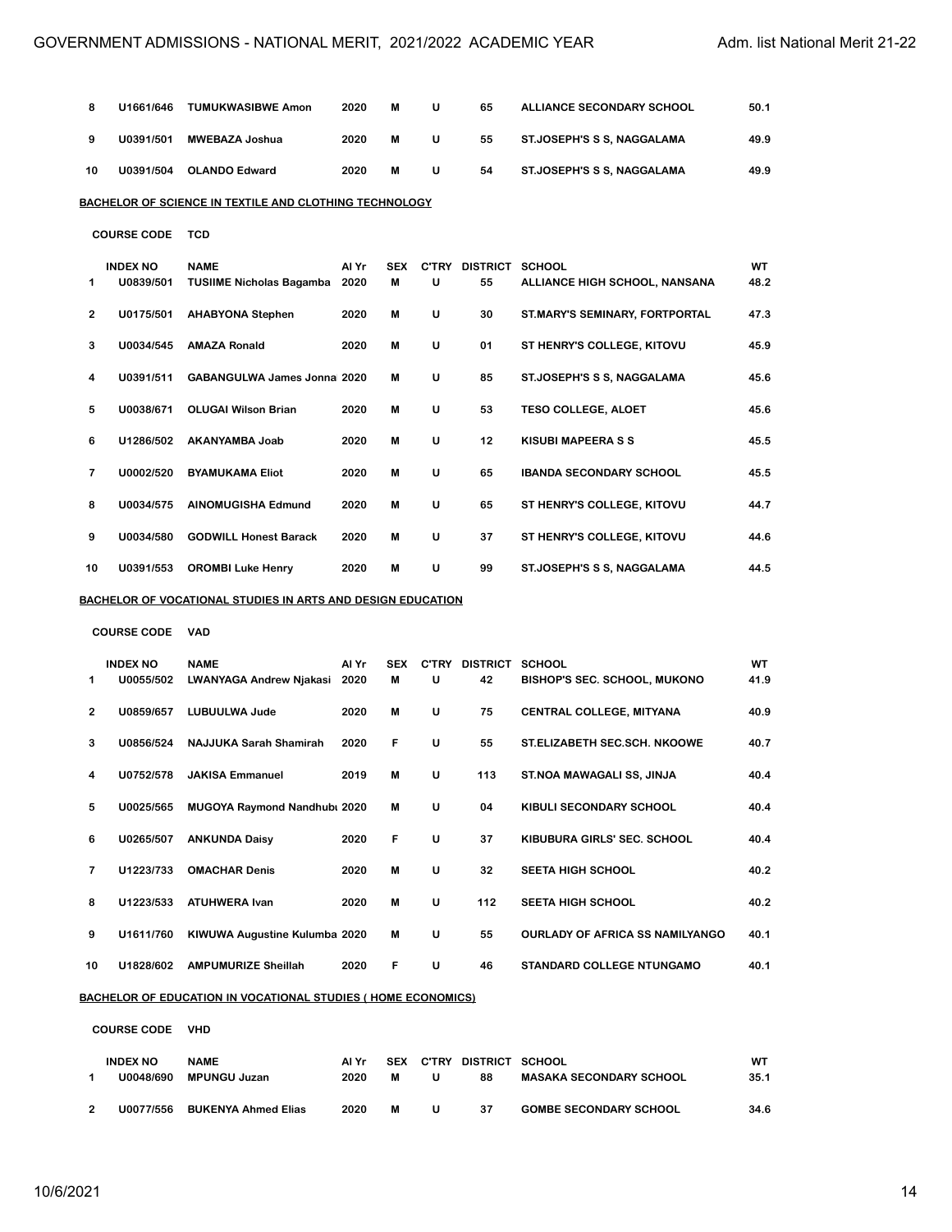| 8  | U1661/646                    | <b>TUMUKWASIBWE Amon</b>                                           | 2020          | M               | U | 65                          | <b>ALLIANCE SECONDARY SCHOOL</b>    | 50.1       |
|----|------------------------------|--------------------------------------------------------------------|---------------|-----------------|---|-----------------------------|-------------------------------------|------------|
| 9  | U0391/501                    | <b>MWEBAZA Joshua</b>                                              | 2020          | M               | U | 55                          | ST.JOSEPH'S S S, NAGGALAMA          | 49.9       |
| 10 | U0391/504                    | <b>OLANDO Edward</b>                                               | 2020          | M               | U | 54                          | ST.JOSEPH'S S S, NAGGALAMA          | 49.9       |
|    |                              | BACHELOR OF SCIENCE IN TEXTILE AND CLOTHING TECHNOLOGY             |               |                 |   |                             |                                     |            |
|    | <b>COURSE CODE</b>           | <b>TCD</b>                                                         |               |                 |   |                             |                                     |            |
| 1  | <b>INDEX NO</b><br>U0839/501 | <b>NAME</b><br><b>TUSIIME Nicholas Bagamba</b>                     | Al Yr<br>2020 | <b>SEX</b><br>M | U | C'TRY DISTRICT SCHOOL<br>55 | ALLIANCE HIGH SCHOOL, NANSANA       | WT<br>48.2 |
| 2  | U0175/501                    | <b>AHABYONA Stephen</b>                                            | 2020          | M               | U | 30                          | ST.MARY'S SEMINARY, FORTPORTAL      | 47.3       |
| 3  | U0034/545                    | <b>AMAZA Ronald</b>                                                | 2020          | м               | U | 01                          | ST HENRY'S COLLEGE, KITOVU          | 45.9       |
| 4  | U0391/511                    | <b>GABANGULWA James Jonnal 2020</b>                                |               | M               | U | 85                          | ST.JOSEPH'S S S, NAGGALAMA          | 45.6       |
| 5  | U0038/671                    | <b>OLUGAI Wilson Brian</b>                                         | 2020          | M               | U | 53                          | <b>TESO COLLEGE, ALOET</b>          | 45.6       |
| 6  | U1286/502                    | AKANYAMBA Joab                                                     | 2020          | M               | U | 12                          | <b>KISUBI MAPEERA S S</b>           | 45.5       |
| 7  | U0002/520                    | <b>BYAMUKAMA Eliot</b>                                             | 2020          | M               | U | 65                          | <b>IBANDA SECONDARY SCHOOL</b>      | 45.5       |
| 8  | U0034/575                    | <b>AINOMUGISHA Edmund</b>                                          | 2020          | M               | U | 65                          | ST HENRY'S COLLEGE, KITOVU          | 44.7       |
| 9  | U0034/580                    | <b>GODWILL Honest Barack</b>                                       | 2020          | M               | U | 37                          | ST HENRY'S COLLEGE, KITOVU          | 44.6       |
| 10 | U0391/553                    | <b>OROMBI Luke Henry</b>                                           | 2020          | M               | U | 99                          | ST.JOSEPH'S S S, NAGGALAMA          | 44.5       |
|    |                              | <u>BACHELOR OF VOCATIONAL STUDIES IN ARTS AND DESIGN EDUCATION</u> |               |                 |   |                             |                                     |            |
|    | <b>COURSE CODE</b>           | <b>VAD</b>                                                         |               |                 |   |                             |                                     |            |
| 1  | <b>INDEX NO</b><br>U0055/502 | <b>NAME</b><br>LWANYAGA Andrew Njakasi                             | Al Yr<br>2020 | <b>SEX</b><br>м | U | C'TRY DISTRICT SCHOOL<br>42 | <b>BISHOP'S SEC. SCHOOL, MUKONO</b> | WT<br>41.9 |
| 2  | U0859/657                    | <b>LUBUULWA Jude</b>                                               | 2020          | M               | U | 75                          | CENTRAL COLLEGE, MITYANA            | 40.9       |
| 3  | U0856/524                    | NAJJUKA Sarah Shamirah                                             | 2020          | F               | U | 55                          | ST.ELIZABETH SEC.SCH. NKOOWE        | 40.7       |
| 4  | U0752/578                    | <b>JAKISA Emmanuel</b>                                             | 2019          | M               | U | 113                         | ST.NOA MAWAGALI SS, JINJA           | 40.4       |
| 5  | U0025/565                    | MUGOYA Raymond Nandhubi 2020                                       |               | M               | U | 04                          | KIBULI SECONDARY SCHOOL             | 40.4       |
| 6  | U0265/507                    | <b>ANKUNDA Daisy</b>                                               | 2020          | F               | U | 37                          | KIBUBURA GIRLS' SEC. SCHOOL         | 40.4       |
| 7  | U1223/733                    | <b>OMACHAR Denis</b>                                               | 2020          | M               | U | 32                          | <b>SEETA HIGH SCHOOL</b>            | 40.2       |
| 8  | U1223/533                    | <b>ATUHWERA Ivan</b>                                               | 2020          | M               | U | 112                         | <b>SEETA HIGH SCHOOL</b>            | 40.2       |
| 9  | U1611/760                    | KIWUWA Augustine Kulumba 2020                                      |               | M               | U | 55                          | OURLADY OF AFRICA SS NAMILYANGO     | 40.1       |
| 10 | U1828/602                    | <b>AMPUMURIZE Sheillah</b>                                         | 2020          | F               | U | 46                          | STANDARD COLLEGE NTUNGAMO           | 40.1       |
|    |                              |                                                                    |               |                 |   |                             |                                     |            |

**BACHELOR OF EDUCATION IN VOCATIONAL STUDIES ( HOME ECONOMICS)**

**COURSE CODE VHD**

| <b>INDEX NO</b> | <b>NAME</b>                | Al Yr | <b>SEX</b> | <b>C'TRY</b> | DISTRICT SCHOOL |                               | wт   |
|-----------------|----------------------------|-------|------------|--------------|-----------------|-------------------------------|------|
| U0048/690       | MPUNGU Juzan               | 2020  | м          | u            | 88              | MASAKA SECONDARY SCHOOL       | 35.1 |
|                 |                            |       |            |              |                 |                               |      |
| U0077/556       | <b>BUKENYA Ahmed Elias</b> | 2020  | м          | u            | 37              | <b>GOMBE SECONDARY SCHOOL</b> | 34.6 |